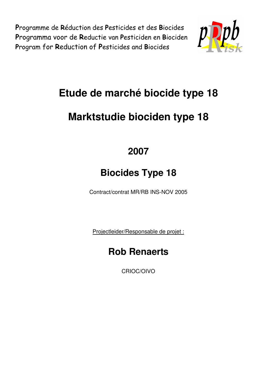Programme de Réduction des Pesticides et des Biocides Programma voor de Reductie van Pesticiden en Biociden Program for Reduction of Pesticides and Biocides



# **Etude de marché biocide type 18**

# **Marktstudie biociden type 18**

**2007** 

# **Biocides Type 18**

Contract/contrat MR/RB INS-NOV 2005

Projectleider/Responsable de projet :

# **Rob Renaerts**

CRIOC/OIVO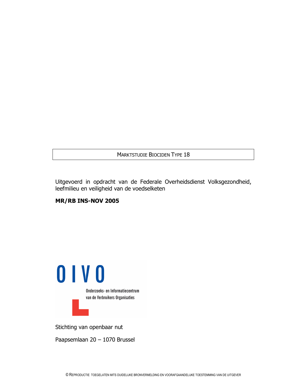MARKTSTUDIE BIOCIDEN TYPE 18

Uitgevoerd in opdracht van de Federale Overheidsdienst Volksgezondheid, leefmilieu en veiligheid van de voedselketen

# MR/RB INS-NOV 2005



Stichting van openbaar nut

Paapsemlaan 20 – 1070 Brussel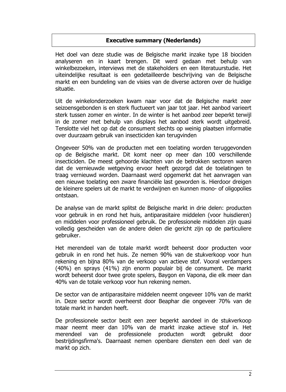# Executive summary (Nederlands)

Het doel van deze studie was de Belgische markt inzake type 18 biociden analyseren en in kaart brengen. Dit werd gedaan met behulp van winkelbezoeken, interviews met de stakeholders en een literatuurstudie. Het uiteindelijke resultaat is een gedetailleerde beschrijving van de Belgische markt en een bundeling van de visies van de diverse actoren over de huidige situatie.

Uit de winkelonderzoeken kwam naar voor dat de Belgische markt zeer seizoensgebonden is en sterk fluctueert van jaar tot jaar. Het aanbod varieert sterk tussen zomer en winter. In de winter is het aanbod zeer beperkt terwijl in de zomer met behulp van displays het aanbod sterk wordt uitgebreid. Tenslotte viel het op dat de consument slechts op weinig plaatsen informatie over duurzaam gebruik van insecticiden kan terugvinden

Ongeveer 50% van de producten met een toelating worden teruggevonden op de Belgische markt. Dit komt neer op meer dan 100 verschillende insecticiden. De meest gehoorde klachten van de betrokken sectoren waren dat de vernieuwde wetgeving ervoor heeft gezorgd dat de toelatingen te traag vernieuwd worden. Daarnaast werd opgemerkt dat het aanvragen van een nieuwe toelating een zware financiële last geworden is. Hierdoor dreigen de kleinere spelers uit de markt te verdwijnen en kunnen mono- of oligopolies ontstaan.

De analyse van de markt splitst de Belgische markt in drie delen: producten voor gebruik in en rond het huis, antiparasitaire middelen (voor huisdieren) en middelen voor professioneel gebruik. De professionele middelen zijn quasi volledig gescheiden van de andere delen die gericht zijn op de particuliere gebruiker.

Het merendeel van de totale markt wordt beheerst door producten voor gebruik in en rond het huis. Ze nemen 90% van de stukverkoop voor hun rekening en bijna 80% van de verkoop van actieve stof. Vooral verdampers (40%) en sprays (41%) zijn enorm populair bij de consument. De markt wordt beheerst door twee grote spelers, Baygon en Vapona, die elk meer dan 40% van de totale verkoop voor hun rekening nemen.

De sector van de antiparasitaire middelen neemt ongeveer 10% van de markt in. Deze sector wordt overheerst door Beaphar die ongeveer 70% van de totale markt in handen heeft.

De professionele sector bezit een zeer beperkt aandeel in de stukverkoop maar neemt meer dan 10% van de markt inzake actieve stof in. Het merendeel van de professionele producten wordt gebruikt door bestrijdingsfirma's. Daarnaast nemen openbare diensten een deel van de markt op zich.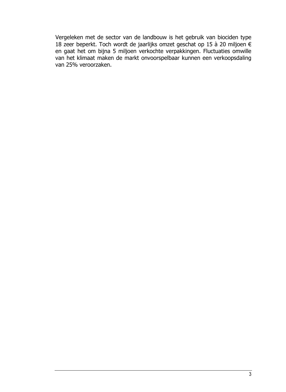Vergeleken met de sector van de landbouw is het gebruik van biociden type 18 zeer beperkt. Toch wordt de jaarlijks omzet geschat op 15 à 20 miljoen € en gaat het om bijna 5 miljoen verkochte verpakkingen. Fluctuaties omwille van het klimaat maken de markt onvoorspelbaar kunnen een verkoopsdaling van 25% veroorzaken.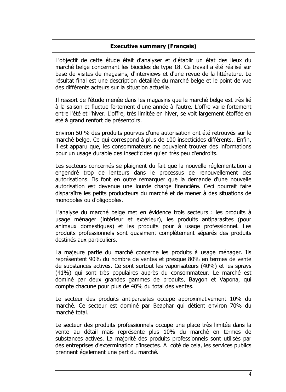# Executive summary (Français)

L'objectif de cette étude était d'analyser et d'établir un état des lieux du marché belge concernant les biocides de type 18. Ce travail a été réalisé sur base de visites de magasins, d'interviews et d'une revue de la littérature. Le résultat final est une description détaillée du marché belge et le point de vue des différents acteurs sur la situation actuelle.

Il ressort de l'étude menée dans les magasins que le marché belge est très lié à la saison et fluctue fortement d'une année à l'autre. L'offre varie fortement entre l'été et l'hiver. L'offre, très limitée en hiver, se voit largement étoffée en été à grand renfort de présentoirs.

Environ 50 % des produits pourvus d'une autorisation ont été retrouvés sur le marché belge. Ce qui correspond à plus de 100 insecticides différents.. Enfin, il est apparu que, les consommateurs ne pouvaient trouver des informations pour un usage durable des insecticides qu'en très peu d'endroits.

Les secteurs concernés se plaignent du fait que la nouvelle réglementation a engendré trop de lenteurs dans le processus de renouvellement des autorisations. Ils font en outre remarquer que la demande d'une nouvelle autorisation est devenue une lourde charge financière. Ceci pourrait faire disparaître les petits producteurs du marché et de mener à des situations de monopoles ou d'oligopoles.

L'analyse du marché belge met en évidence trois secteurs : les produits à usage ménager (intérieur et extérieur), les produits antiparasites (pour animaux domestiques) et les produits pour à usage professionnel. Les produits professionnels sont quasiment complètement séparés des produits destinés aux particuliers.

La majeure partie du marché concerne les produits à usage ménager. Ils représentent 90% du nombre de ventes et presque 80% en termes de vente de substances actives. Ce sont surtout les vaporisateurs (40%) et les sprays (41%) qui sont très populaires auprès du consommateur. Le marché est dominé par deux grandes gammes de produits, Baygon et Vapona, qui compte chacune pour plus de 40% du total des ventes.

Le secteur des produits antiparasites occupe approximativement 10% du marché. Ce secteur est dominé par Beaphar qui détient environ 70% du marché total.

Le secteur des produits professionnels occupe une place très limitée dans la vente au détail mais représente plus 10% du marché en termes de substances actives. La majorité des produits professionnels sont utilisés par des entreprises d'extermination d'insectes. A côté de cela, les services publics prennent également une part du marché.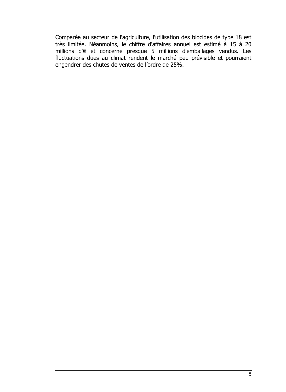Comparée au secteur de l'agriculture, l'utilisation des biocides de type 18 est très limitée. Néanmoins, le chiffre d'affaires annuel est estimé à 15 à 20 millions d'€ et concerne presque 5 millions d'emballages vendus. Les fluctuations dues au climat rendent le marché peu prévisible et pourraient engendrer des chutes de ventes de l'ordre de 25%.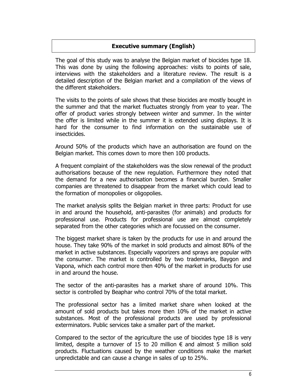# Executive summary (English)

The goal of this study was to analyse the Belgian market of biocides type 18. This was done by using the following approaches: visits to points of sale, interviews with the stakeholders and a literature review. The result is a detailed description of the Belgian market and a compilation of the views of the different stakeholders.

The visits to the points of sale shows that these biocides are mostly bought in the summer and that the market fluctuates strongly from year to year. The offer of product varies strongly between winter and summer. In the winter the offer is limited while in the summer it is extended using displays. It is hard for the consumer to find information on the sustainable use of insecticides.

Around 50% of the products which have an authorisation are found on the Belgian market. This comes down to more then 100 products.

A frequent complaint of the stakeholders was the slow renewal of the product authorisations because of the new regulation. Furthermore they noted that the demand for a new authorisation becomes a financial burden. Smaller companies are threatened to disappear from the market which could lead to the formation of monopolies or oligopolies.

The market analysis splits the Belgian market in three parts: Product for use in and around the household, anti-parasites (for animals) and products for professional use. Products for professional use are almost completely separated from the other categories which are focussed on the consumer.

The biggest market share is taken by the products for use in and around the house. They take 90% of the market in sold products and almost 80% of the market in active substances. Especially vaporizers and sprays are popular with the consumer. The market is controlled by two trademarks, Baygon and Vapona, which each control more then 40% of the market in products for use in and around the house.

The sector of the anti-parasites has a market share of around 10%. This sector is controlled by Beaphar who control 70% of the total market.

The professional sector has a limited market share when looked at the amount of sold products but takes more then 10% of the market in active substances. Most of the professional products are used by professional exterminators. Public services take a smaller part of the market.

Compared to the sector of the agriculture the use of biocides type 18 is very limited, despite a turnover of 15 to 20 million  $€$  and almost 5 million sold products. Fluctuations caused by the weather conditions make the market unpredictable and can cause a change in sales of up to 25%.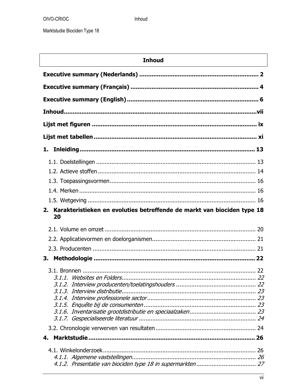| <b>Inhoud</b>                                                                    |
|----------------------------------------------------------------------------------|
|                                                                                  |
|                                                                                  |
|                                                                                  |
|                                                                                  |
|                                                                                  |
|                                                                                  |
|                                                                                  |
|                                                                                  |
|                                                                                  |
|                                                                                  |
|                                                                                  |
|                                                                                  |
| 2. Karakteristieken en evoluties betreffende de markt van biociden type 18<br>20 |
|                                                                                  |
|                                                                                  |
|                                                                                  |
|                                                                                  |
|                                                                                  |
|                                                                                  |
| 4.                                                                               |
|                                                                                  |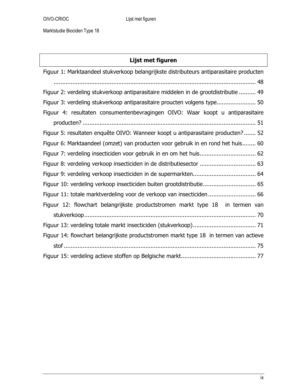# Lijst met figuren

| Figuur 1: Marktaandeel stukverkoop belangrijkste distributeurs antiparasitaire producten |
|------------------------------------------------------------------------------------------|
|                                                                                          |
| Figuur 2: verdeling stukverkoop antiparasitaire middelen in de grootdistributie  49      |
| Figuur 3: verdeling stukverkoop antiparasitaire proucten volgens type 50                 |
| Figuur 4: resultaten consumentenbevragingen OIVO: Waar koopt u antiparasitaire           |
|                                                                                          |
| Figuur 5: resultaten enquête OIVO: Wanneer koopt u antiparasitaire producten? 52         |
| Figuur 6: Marktaandeel (omzet) van producten voor gebruik in en rond het huis 60         |
|                                                                                          |
| Figuur 8: verdeling verkoop insecticiden in de distributiesector  63                     |
|                                                                                          |
| Figuur 10: verdeling verkoop insecticiden buiten grootdistributie 65                     |
| Figuur 11: totale marktverdeling voor de verkoop van insecticiden 66                     |
| Figuur 12: flowchart belangrijkste productstromen markt type 18 in termen van            |
|                                                                                          |
|                                                                                          |
| Figuur 14: flowchart belangrijkste productstromen markt type 18 in termen van actieve    |
|                                                                                          |
|                                                                                          |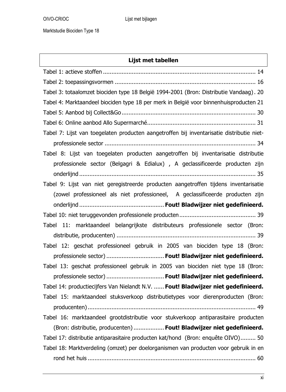# Lijst met tabellen

| Tabel 3: totaalomzet biociden type 18 België 1994-2001 (Bron: Distributie Vandaag). 20    |
|-------------------------------------------------------------------------------------------|
| Tabel 4: Marktaandeel biociden type 18 per merk in België voor binnenhuisproducten 21     |
|                                                                                           |
|                                                                                           |
| Tabel 7: Lijst van toegelaten producten aangetroffen bij inventarisatie distributie niet- |
|                                                                                           |
| Tabel 8: Lijst van toegelaten producten aangetroffen bij inventarisatie distributie       |
| professionele sector (Belgagri & Edialux), A geclassificeerde producten zijn              |
|                                                                                           |
| Tabel 9: Lijst van niet geregistreerde producten aangetroffen tijdens inventarisatie      |
| (zowel professioneel als niet professioneel, A geclassificeerde producten zijn            |
|                                                                                           |
|                                                                                           |
| Tabel 11: marktaandeel belangrijkste distributeurs professionele sector (Bron:            |
|                                                                                           |
| Tabel 12: geschat professioneel gebruik in 2005 van biociden type 18 (Bron:               |
| professionele sector)  Fout! Bladwijzer niet gedefinieerd.                                |
| Tabel 13: geschat professioneel gebruik in 2005 van biociden niet type 18 (Bron:          |
|                                                                                           |
| Tabel 14: productiecijfers Van Nielandt N.V.  Fout! Bladwijzer niet gedefinieerd.         |
| Tabel 15: marktaandeel stuksverkoop distributietypes voor dierenproducten (Bron:          |
|                                                                                           |
| Tabel 16: marktaandeel grootdistributie voor stukverkoop antiparasitaire producten        |
| (Bron: distributie, producenten)  Fout! Bladwijzer niet gedefinieerd.                     |
| Tabel 17: distributie antiparasitaire producten kat/hond (Bron: enquête OIVO) 50          |
| Tabel 18: Marktverdeling (omzet) per doelorganismen van producten voor gebruik in en      |
|                                                                                           |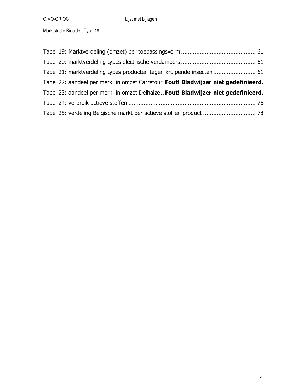| Tabel 22: aandeel per merk in omzet Carrefour Fout! Bladwijzer niet gedefinieerd. |  |
|-----------------------------------------------------------------------------------|--|
| Tabel 23: aandeel per merk in omzet Delhaize Fout! Bladwijzer niet gedefinieerd.  |  |
|                                                                                   |  |
|                                                                                   |  |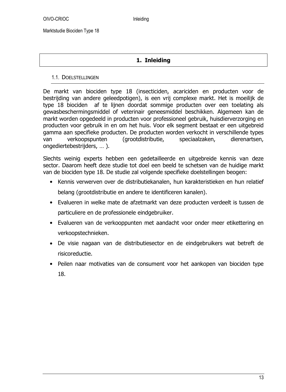## 1. Inleiding

#### 1.1. DOELSTELLINGEN

De markt van biociden type 18 (insecticiden, acariciden en producten voor de bestrijding van andere geleedpotigen), is een vrij complexe markt. Het is moeilijk de type 18 biociden af te lijnen doordat sommige producten over een toelating als gewasbeschermingsmiddel of veterinair geneesmiddel beschikken. Algemeen kan de markt worden opgedeeld in producten voor professioneel gebruik, huisdierverzorging en producten voor gebruik in en om het huis. Voor elk segment bestaat er een uitgebreid gamma aan specifieke producten. De producten worden verkocht in verschillende types van verkoopspunten (grootdistributie, speciaalzaken, dierenartsen, ongediertebestrijders, … ).

Slechts weinig experts hebben een gedetailleerde en uitgebreide kennis van deze sector. Daarom heeft deze studie tot doel een beeld te schetsen van de huidige markt van de biociden type 18. De studie zal volgende specifieke doelstellingen beogen:

- Kennis verwerven over de distributiekanalen, hun karakteristieken en hun relatief belang (grootdistributie en andere te identificeren kanalen).
- Evalueren in welke mate de afzetmarkt van deze producten verdeelt is tussen de particuliere en de professionele eindgebruiker.
- Evalueren van de verkooppunten met aandacht voor onder meer etikettering en verkoopstechnieken.
- De visie nagaan van de distributiesector en de eindgebruikers wat betreft de risicoreductie.
- Peilen naar motivaties van de consument voor het aankopen van biociden type 18.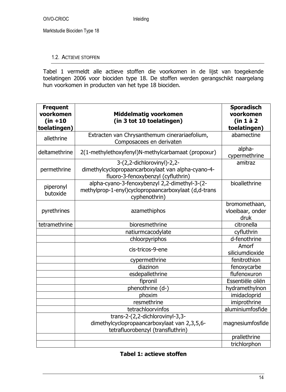#### 1.2. ACTIEVE STOFFEN

Tabel 1 vermeldt alle actieve stoffen die voorkomen in de lijst van toegekende toelatingen 2006 voor biociden type 18. De stoffen werden gerangschikt naargelang hun voorkomen in producten van het type 18 biociden.

| <b>Frequent</b><br>voorkomen<br>$(in +10)$<br>toelatingen) | <b>Middelmatig voorkomen</b><br>(in 3 tot 10 toelatingen)                                                              | <b>Sporadisch</b><br>voorkomen<br>(in 1 à 2)<br>toelatingen) |
|------------------------------------------------------------|------------------------------------------------------------------------------------------------------------------------|--------------------------------------------------------------|
| allethrine                                                 | Extracten van Chrysanthemum cinerariaefolium,<br>Composacees en derivaten                                              | abamectine                                                   |
| deltamethrine                                              | 2(1-methylethoxyfenyl)N-methylcarbamaat (propoxur)                                                                     | alpha-<br>cypermethrine                                      |
| permethrine                                                | 3-(2,2-dichlorovinyl)-2,2-<br>dimethylcyclopropaancarboxylaat van alpha-cyano-4-<br>fluoro-3-fenoxybenzyl (cyfluthrin) | amitraz                                                      |
| piperonyl<br>butoxide                                      | alpha-cyano-3-fenoxybenzyl 2,2-dimethyl-3-(2-<br>methylprop-1-enyl)cyclopropaancarboxylaat (d,d-trans<br>cyphenothrin) | bioallethrine                                                |
| pyrethrines                                                | azamethiphos                                                                                                           | bromomethaan,<br>vloeibaar, onder<br>druk                    |
| tetramethrine                                              | bioresmethrine                                                                                                         | citronella                                                   |
|                                                            | natiurmcacodylate                                                                                                      | cyfluthrin                                                   |
|                                                            | chloorpyriphos                                                                                                         | d-fenothrine                                                 |
|                                                            | cis-tricos-9-ene                                                                                                       | Amorf<br>siliciumdioxide                                     |
|                                                            | cypermethrine                                                                                                          | fenitrothion                                                 |
|                                                            | diazinon                                                                                                               | fenoxycarbe                                                  |
|                                                            | esdepallethrine                                                                                                        | flufenoxuron                                                 |
|                                                            | fipronil                                                                                                               | Essentiële oliën                                             |
|                                                            | phenothrine (d-)                                                                                                       | hydramethylnon                                               |
|                                                            | phoxim                                                                                                                 | imidacloprid                                                 |
|                                                            | resmethrine                                                                                                            | imiprothrine                                                 |
|                                                            | tetrachloorvinfos                                                                                                      | aluminiumfosfide                                             |
|                                                            | trans-2-(2,2-dichlorovinyl-3,3-<br>dimethylcyclopropaancarboxylaat van 2,3,5,6-<br>tetrafluorobenzyl (transfluthrin)   | magnesiumfosfide                                             |
|                                                            |                                                                                                                        | prallethrine                                                 |
|                                                            |                                                                                                                        | trichlorphon                                                 |

#### Tabel 1: actieve stoffen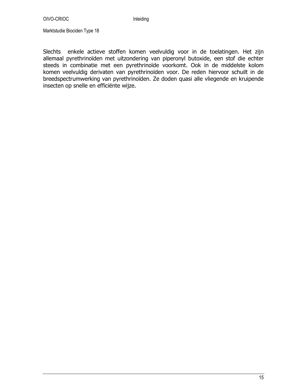Slechts enkele actieve stoffen komen veelvuldig voor in de toelatingen. Het zijn allemaal pyrethrinoïden met uitzondering van piperonyl butoxide, een stof die echter steeds in combinatie met een pyrethrinoïde voorkomt. Ook in de middelste kolom komen veelvuldig derivaten van pyrethrinoïden voor. De reden hiervoor schuilt in de breedspectrumwerking van pyrethrinoïden. Ze doden quasi alle vliegende en kruipende insecten op snelle en efficiënte wijze.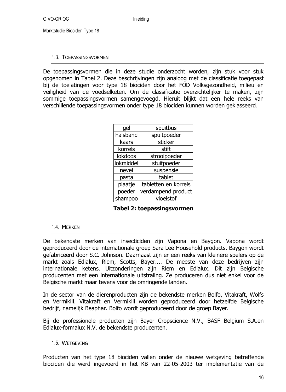#### 1.3. TOEPASSINGSVORMEN

De toepassingsvormen die in deze studie onderzocht worden, zijn stuk voor stuk opgenomen in Tabel 2. Deze beschrijvingen zijn analoog met de classificatie toegepast bij de toelatingen voor type 18 biociden door het FOD Volksgezondheid, milieu en veiligheid van de voedselketen. Om de classificatie overzichtelijker te maken, zijn sommige toepassingsvormen samengevoegd. Hieruit blijkt dat een hele reeks van verschillende toepassingsvormen onder type 18 biociden kunnen worden geklasseerd.

| gel       | spuitbus             |  |
|-----------|----------------------|--|
| halsband  | spuitpoeder          |  |
| kaars     | sticker              |  |
| korrels   | stift                |  |
| lokdoos   | strooipoeder         |  |
| lokmiddel | stuifpoeder          |  |
| nevel     | suspensie            |  |
| pasta     | tablet               |  |
| plaatje   | tabletten en korrels |  |
| poeder    | verdampend product   |  |
| shampoo   | vloeistof            |  |

Tabel 2: toepassingsvormen

#### 1.4. MERKEN

De bekendste merken van insecticiden zijn Vapona en Baygon. Vapona wordt geproduceerd door de internationale groep Sara Lee Household products. Baygon wordt gefabriceerd door S.C. Johnson. Daarnaast zijn er een reeks van kleinere spelers op de markt zoals Edialux, Riem, Scotts, Bayer.... De meeste van deze bedrijven zijn internationale ketens. Uitzonderingen zijn Riem en Edialux. Dit zijn Belgische producenten met een internationale uitstraling. Ze produceren dus niet enkel voor de Belgische markt maar tevens voor de omringende landen.

In de sector van de dierenproducten zijn de bekendste merken Bolfo, Vitakraft, Wolfs en Vermikill. Vitakraft en Vermikill worden geproduceerd door hetzelfde Belgische bedrijf, namelijk Beaphar. Bolfo wordt geproduceerd door de groep Bayer.

Bij de professionele producten zijn Bayer Cropscience N.V., BASF Belgium S.A.en Edialux-formalux N.V. de bekendste producenten.

#### 1.5. WETGEVING

Producten van het type 18 biociden vallen onder de nieuwe wetgeving betreffende biociden die werd ingevoerd in het KB van 22-05-2003 ter implementatie van de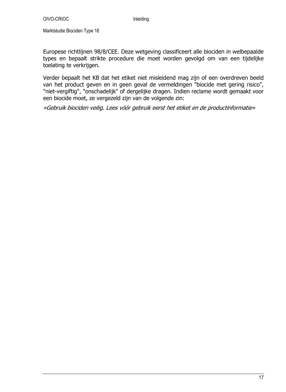Europese richtlijnen 98/8/CEE. Deze wetgeving classificeert alle biociden in welbepaalde types en bepaalt strikte procedure die moet worden gevolgd om van een tijdelijke toelating te verkrijgen.

Verder bepaalt het KB dat het etiket niet misleidend mag zijn of een overdreven beeld van het product geven en in geen geval de vermeldingen "biocide met gering risico", "niet-vergiftig", "onschadelijk" of dergelijke dragen. Indien reclame wordt gemaakt voor een biocide moet, ze vergezeld zijn van de volgende zin:

«Gebruik biociden veilig. Lees vóór gebruik eerst het etiket en de productinformatie»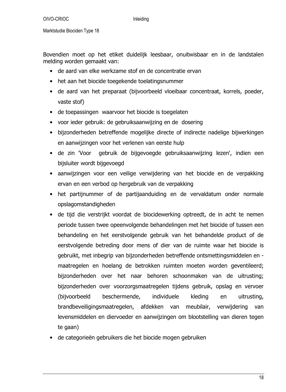Bovendien moet op het etiket duidelijk leesbaar, onuitwisbaar en in de landstalen melding worden gemaakt van:

- de aard van elke werkzame stof en de concentratie ervan
- het aan het biocide toegekende toelatingsnummer
- de aard van het preparaat (bijvoorbeeld vloeibaar concentraat, korrels, poeder, vaste stof)
- de toepassingen waarvoor het biocide is toegelaten
- voor ieder gebruik: de gebruiksaanwijzing en de dosering
- bijzonderheden betreffende mogelijke directe of indirecte nadelige bijwerkingen en aanwijzingen voor het verlenen van eerste hulp
- de zin 'Voor gebruik de bijgevoegde gebruiksaanwijzing lezen', indien een bijsluiter wordt bijgevoegd
- aanwijzingen voor een veilige verwijdering van het biocide en de verpakking ervan en een verbod op hergebruik van de verpakking
- het partijnummer of de partijaanduiding en de vervaldatum onder normale opslagomstandigheden
- de tijd die verstrijkt voordat de biocidewerking optreedt, de in acht te nemen periode tussen twee opeenvolgende behandelingen met het biocide of tussen een behandeling en het eerstvolgende gebruik van het behandelde product of de eerstvolgende betreding door mens of dier van de ruimte waar het biocide is gebruikt, met inbegrip van bijzonderheden betreffende ontsmettingsmiddelen en maatregelen en hoelang de betrokken ruimten moeten worden geventileerd; bijzonderheden over het naar behoren schoonmaken van de uitrusting; bijzonderheden over voorzorgsmaatregelen tijdens gebruik, opslag en vervoer (bijvoorbeeld beschermende, individuele kleding en uitrusting, brandbeveiligingsmaatregelen, afdekken van meubilair, verwijdering van levensmiddelen en diervoeder en aanwijzingen om blootstelling van dieren tegen te gaan)
- de categorieën gebruikers die het biocide mogen gebruiken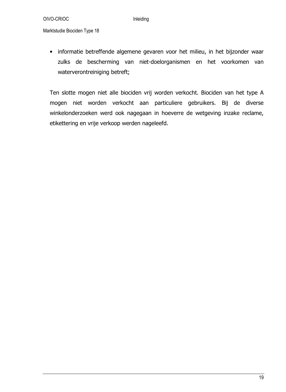• informatie betreffende algemene gevaren voor het milieu, in het bijzonder waar zulks de bescherming van niet-doelorganismen en het voorkomen van waterverontreiniging betreft;

Ten slotte mogen niet alle biociden vrij worden verkocht. Biociden van het type A mogen niet worden verkocht aan particuliere gebruikers. Bij de diverse winkelonderzoeken werd ook nagegaan in hoeverre de wetgeving inzake reclame, etikettering en vrije verkoop werden nageleefd.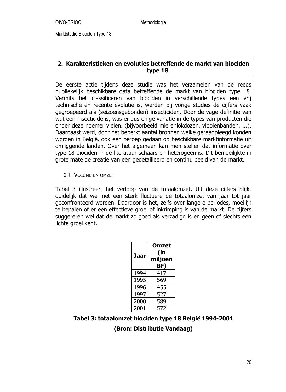### 2. Karakteristieken en evoluties betreffende de markt van biociden type 18

De eerste actie tijdens deze studie was het verzamelen van de reeds publiekelijk beschikbare data betreffende de markt van biociden type 18. Vermits het classificeren van biociden in verschillende types een vrij technische en recente evolutie is, werden bij vorige studies de cijfers vaak gegroepeerd als (seizoensgebonden) insecticiden. Door de vage definitie van wat een insecticide is, was er dus enige variatie in de types van producten die onder deze noemer vielen. (bijvoorbeeld mierenlokdozen, vlooienbanden, ...). Daarnaast werd, door het beperkt aantal bronnen welke geraadpleegd konden worden in België, ook een beroep gedaan op beschikbare marktinformatie uit omliggende landen. Over het algemeen kan men stellen dat informatie over type 18 biociden in de literatuur schaars en heterogeen is. Dit bemoeilijkte in grote mate de creatie van een gedetailleerd en continu beeld van de markt.

2.1. VOLUME EN OMZET

Tabel 3 illustreert het verloop van de totaalomzet. Uit deze cijfers blijkt duidelijk dat we met een sterk fluctuerende totaalomzet van jaar tot jaar geconfronteerd worden. Daardoor is het, zelfs over langere periodes, moeilijk te bepalen of er een effectieve groei of inkrimping is van de markt. De cijfers suggereren wel dat de markt zo goed als verzadigd is en geen of slechts een lichte groei kent.

| Jaar | <b>Omzet</b><br>(in<br>miljoen<br>BF) |
|------|---------------------------------------|
| 1994 | 417                                   |
| 1995 | 569                                   |
| 1996 | 455                                   |
| 1997 | 527                                   |
| 2000 | 589                                   |
| 2001 | 572                                   |

Tabel 3: totaalomzet biociden type 18 België 1994-2001

# (Bron: Distributie Vandaag)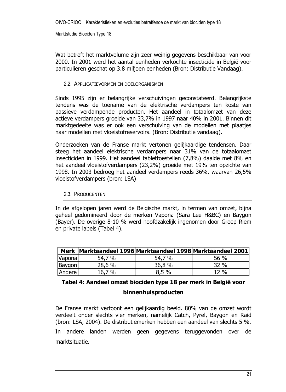Wat betreft het marktvolume zijn zeer weinig gegevens beschikbaar van voor 2000. In 2001 werd het aantal eenheden verkochte insecticide in België voor particulieren geschat op 3.8 miljoen eenheden (Bron: Distributie Vandaag).

#### 2.2. APPLICATIEVORMEN EN DOELORGANISMEN

Sinds 1995 zijn er belangrijke verschuivingen geconstateerd. Belangrijkste tendens was de toename van de elektrische verdampers ten koste van passieve verdampende producten. Het aandeel in totaalomzet van deze actieve verdampers groeide van 33,7% in 1997 naar 40% in 2001. Binnen dit marktgedeelte was er ook een verschuiving van de modellen met plaatjes naar modellen met vloeistofreservoirs. (Bron: Distributie vandaag).

Onderzoeken van de Franse markt vertonen gelijkaardige tendensen. Daar steeg het aandeel elektrische verdampers naar 31% van de totaalomzet insecticiden in 1999. Het aandeel tablettoestellen (7,8%) daalde met 8% en het aandeel vloeistofverdampers (23,2%) groeide met 19% ten opzichte van 1998. In 2003 bedroeg het aandeel verdampers reeds 36%, waarvan 26,5% vloeistofverdampers (bron: LSA)

### 2.3. PRODUCENTEN

In de afgelopen jaren werd de Belgische markt, in termen van omzet, bijna geheel gedomineerd door de merken Vapona (Sara Lee H&BC) en Baygon (Bayer). De overige 8-10 % werd hoofdzakelijk ingenomen door Groep Riem en private labels (Tabel 4).

|        |        | Merk   Marktaandeel 1996 Marktaandeel 1998 Marktaandeel 2001 |        |
|--------|--------|--------------------------------------------------------------|--------|
| Vapona | 54,7 % | 54,7 %                                                       | 56 %   |
| Baygon | 28,6 % | 36,8 %                                                       | 32 %   |
| Andere | 16.7 % | 8,5%                                                         | $12\%$ |

# Tabel 4: Aandeel omzet biociden type 18 per merk in België voor

#### binnenhuisproducten

De Franse markt vertoont een gelijkaardig beeld. 80% van de omzet wordt verdeelt onder slechts vier merken, namelijk Catch, Pyrel, Baygon en Raid (bron: LSA, 2004). De distributiemerken hebben een aandeel van slechts 5 %. In andere landen werden geen gegevens teruggevonden over de

marktsituatie.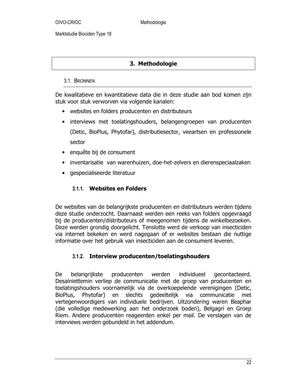# 3. Methodologie

#### 3.1. BRONNEN

De kwalitatieve en kwantitatieve data die in deze studie aan bod komen zijn stuk voor stuk verworven via volgende kanalen:

- websites en folders producenten en distributeurs
- interviews met toelatingshouders, belangengroepen van producenten (Detic, BioPlus, Phytofar), distributiesector, veeartsen en professionele sector
- enquête bij de consument
- inventarisatie van warenhuizen, doe-het-zelvers en dierenspeciaalzaken
- gespecialiseerde literatuur

### 3.1.1. Websites en Folders

De websites van de belangrijkste producenten en distributeurs werden tijdens deze studie onderzocht. Daarnaast werden een reeks van folders opgevraagd bij de producenten/distributeurs of meegenomen tijdens de winkelbezoeken. Deze werden grondig doorgelicht. Tenslotte werd de verkoop van insecticiden via internet bekeken en werd nagegaan of er websites bestaan die nuttige informatie over het gebruik van insecticiden aan de consument leveren.

# 3.1.2. Interview producenten/toelatingshouders

De belangrijkste producenten werden individueel gecontacteerd. Desalniettemin verliep de communicatie met de groep van producenten en toelatingshouders voornamelijk via de overkoepelende verenigingen (Detic, BioPlus, Phytofar) en slechts gedeeltelijk via communicatie met vertegenwoordigers van individuele bedrijven. Uitzondering waren Beaphar (die volledige medewerking aan het onderzoek boden), Belgagri en Groep Riem. Andere producenten reageerden enkel per mail. De verslagen van de interviews werden gebundeld in het addendum.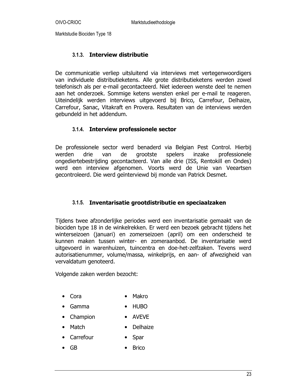# 3.1.3. Interview distributie

De communicatie verliep uitsluitend via interviews met vertegenwoordigers van individuele distributieketens. Alle grote distributieketens werden zowel telefonisch als per e-mail gecontacteerd. Niet iedereen wenste deel te nemen aan het onderzoek. Sommige ketens wensten enkel per e-mail te reageren. Uiteindelijk werden interviews uitgevoerd bij Brico, Carrefour, Delhaize, Carrefour, Sanac, Vitakraft en Provera. Resultaten van de interviews werden gebundeld in het addendum.

# 3.1.4. Interview professionele sector

De professionele sector werd benaderd via Belgian Pest Control. Hierbij werden drie van de grootste spelers inzake professionele ongediertebestrijding gecontacteerd. Van alle drie (ISS, Rentokill en Ondes) werd een interview afgenomen. Voorts werd de Unie van Veeartsen gecontroleerd. Die werd geïnterviewd bij monde van Patrick Desmet.

# 3.1.5. Inventarisatie grootdistributie en speciaalzaken

Tijdens twee afzonderlijke periodes werd een inventarisatie gemaakt van de biociden type 18 in de winkelrekken. Er werd een bezoek gebracht tijdens het winterseizoen (januari) en zomerseizoen (april) om een onderscheid te kunnen maken tussen winter- en zomeraanbod. De inventarisatie werd uitgevoerd in warenhuizen, tuincentra en doe-het-zelfzaken. Tevens werd autorisatienummer, volume/massa, winkelprijs, en aan- of afwezigheid van vervaldatum genoteerd.

Volgende zaken werden bezocht:

- Cora
- Makro
- Gamma • HUBO
- Champion • AVEVE
- Match • Delhaize
- Carrefour • Spar
- GB • Brico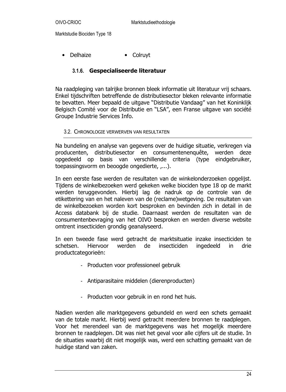• Delhaize • Colruyt

#### 3.1.6. Gespecialiseerde literatuur

Na raadpleging van talrijke bronnen bleek informatie uit literatuur vrij schaars. Enkel tijdschriften betreffende de distributiesector bleken relevante informatie te bevatten. Meer bepaald de uitgave "Distributie Vandaag" van het Koninklijk Belgisch Comité voor de Distributie en "LSA", een Franse uitgave van société Groupe Industrie Services Info.

#### 3.2. CHRONOLOGIE VERWERVEN VAN RESULTATEN

Na bundeling en analyse van gegevens over de huidige situatie, verkregen via producenten, distributiesector en consumentenenquête, werden deze opgedeeld op basis van verschillende criteria (type eindgebruiker, toepassingsvorm en beoogde ongedierte, ,...).

In een eerste fase werden de resultaten van de winkelonderzoeken opgelijst. Tijdens de winkelbezoeken werd gekeken welke biociden type 18 op de markt werden teruggevonden. Hierbij lag de nadruk op de controle van de etikettering van en het naleven van de (reclame)wetgeving. De resultaten van de winkelbezoeken worden kort besproken en bevinden zich in detail in de Access databank bij de studie. Daarnaast werden de resultaten van de consumentenbevraging van het OIVO besproken en werden diverse website omtrent insecticiden grondig geanalyseerd.

In een tweede fase werd getracht de marktsituatie inzake insecticiden te schetsen. Hiervoor werden de insecticiden ingedeeld in drie productcategorieën:

- Producten voor professioneel gebruik
- Antiparasitaire middelen (dierenproducten)
- Producten voor gebruik in en rond het huis.

Nadien werden alle marktgegevens gebundeld en werd een schets gemaakt van de totale markt. Hierbij werd getracht meerdere bronnen te raadplegen. Voor het merendeel van de marktgegevens was het mogelijk meerdere bronnen te raadplegen. Dit was niet het geval voor alle cijfers uit de studie. In de situaties waarbij dit niet mogelijk was, werd een schatting gemaakt van de huidige stand van zaken.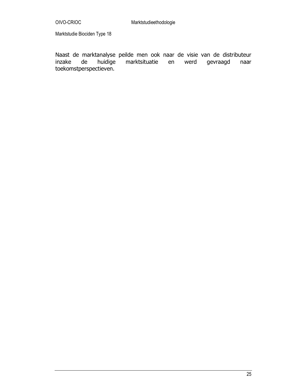Naast de marktanalyse peilde men ook naar de visie van de distributeur<br>inzake de huidige marktsituatie en werd gevraagd naar inzake de huidige marktsituatie en werd gevraagd naar toekomstperspectieven.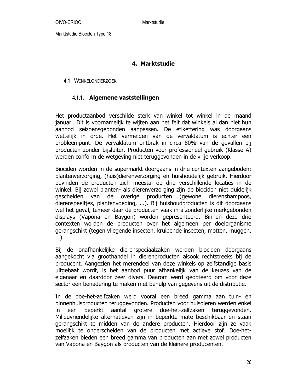### 4. Marktstudie

4.1. WINKELONDERZOEK

### 4.1.1. Algemene vaststellingen

Het productaanbod verschilde sterk van winkel tot winkel in de maand januari. Dit is voornamelijk te wijten aan het feit dat winkels al dan niet hun aanbod seizoensgebonden aanpassen. De etikettering was doorgaans wettelijk in orde. Het vermelden van de vervaldatum is echter een probleempunt. De vervaldatum ontbrak in circa 80% van de gevallen bij producten zonder bijsluiter. Producten voor professioneel gebruik (Klasse A) werden conform de wetgeving niet teruggevonden in de vrije verkoop.

Biociden worden in de supermarkt doorgaans in drie contexten aangeboden: plantenverzorging, (huis)dierenverzorging en huishoudelijk gebruik. Hierdoor bevinden de producten zich meestal op drie verschillende locaties in de winkel. Bij zowel planten- als dierenverzorging zijn de biociden niet duidelijk gescheiden van de overige producten (gewone dierenshampoos, dierenspeeltjes, plantenvoeding, ...). Bij huishoudproducten is dit doorgaans wel het geval, temeer daar de producten vaak in afzonderlijke merkgebonden displays (Vapona en Baygon) worden gepresenteerd. Binnen deze drie contexten worden de producten over het algemeen per doelorganisme gerangschikt (tegen vliegende insecten, kruipende insecten, motten, muggen, …).

Bij de onafhankelijke dierenspeciaalzaken worden biociden doorgaans aangekocht via groothandel in dierenproducten alsook rechtstreeks bij de producent. Aangezien het merendeel van deze winkels op zelfstandige basis uitgebaat wordt, is het aanbod puur afhankelijk van de keuzes van de eigenaar en daardoor zeer divers. Daarom werd geopteerd om voor deze sector een benadering te maken met behulp van gegevens uit de distributie.

In de doe-het-zelfzaken werd vooral een breed gamma aan tuin- en binnenhuisproducten teruggevonden. Producten voor huisdieren werden enkel in een beperkt aantal grotere doe-het-zelfzaken teruggevonden. Milieuvriendelijke alternatieven zijn in beperkte mate beschikbaar en staan gerangschikt te midden van de andere producten. Hierdoor zijn ze vaak moeilijk te onderscheiden van de producten met actieve stof. Doe-hetzelfzaken bieden een breed gamma van producten aan met zowel producten van Vapona en Baygon als producten van de kleinere producenten.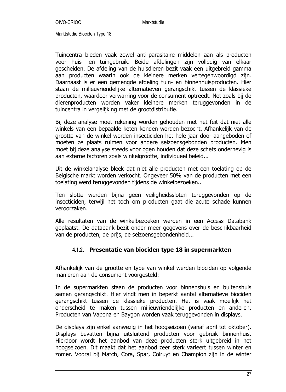Tuincentra bieden vaak zowel anti-parasitaire middelen aan als producten voor huis- en tuingebruik. Beide afdelingen zijn volledig van elkaar gescheiden. De afdeling van de huisdieren bezit vaak een uitgebreid gamma aan producten waarin ook de kleinere merken vertegenwoordigd zijn. Daarnaast is er een gemengde afdeling tuin- en binnenhuisproducten. Hier staan de milieuvriendelijke alternatieven gerangschikt tussen de klassieke producten, waardoor verwarring voor de consument optreedt. Net zoals bij de dierenproducten worden vaker kleinere merken teruggevonden in de tuincentra in vergelijking met de grootdistributie.

Bij deze analyse moet rekening worden gehouden met het feit dat niet alle winkels van een bepaalde keten konden worden bezocht. Afhankelijk van de grootte van de winkel worden insecticiden het hele jaar door aangeboden of moeten ze plaats ruimen voor andere seizoensgebonden producten. Men moet bij deze analyse steeds voor ogen houden dat deze schets onderhevig is aan externe factoren zoals winkelgrootte, individueel beleid...

Uit de winkelanalyse bleek dat niet alle producten met een toelating op de Belgische markt worden verkocht. Ongeveer 50% van de producten met een toelating werd teruggevonden tijdens de winkelbezoeken..

Ten slotte werden bijna geen veiligheidssloten teruggevonden op de insecticiden, terwijl het toch om producten gaat die acute schade kunnen veroorzaken.

Alle resultaten van de winkelbezoeken werden in een Access Databank geplaatst. De databank bezit onder meer gegevens over de beschikbaarheid van de producten, de prijs, de seizoensgebondenheid...

# 4.1.2. Presentatie van biociden type 18 in supermarkten

Afhankelijk van de grootte en type van winkel werden biociden op volgende manieren aan de consument voorgesteld:

In de supermarkten staan de producten voor binnenshuis en buitenshuis samen gerangschikt. Hier vindt men in beperkt aantal alternatieve biociden gerangschikt tussen de klassieke producten. Het is vaak moeilijk het onderscheid te maken tussen milieuvriendelijke producten en anderen. Producten van Vapona en Baygon worden vaak teruggevonden in displays.

De displays zijn enkel aanwezig in het hoogseizoen (vanaf april tot oktober). Displays bevatten bijna uitsluitend producten voor gebruik binnenhuis. Hierdoor wordt het aanbod van deze producten sterk uitgebreid in het hoogseizoen. Dit maakt dat het aanbod zeer sterk varieert tussen winter en zomer. Vooral bij Match, Cora, Spar, Colruyt en Champion zijn in de winter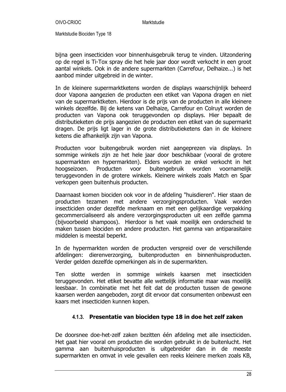bijna geen insecticiden voor binnenhuisgebruik terug te vinden. Uitzondering op de regel is Ti-Tox spray die het hele jaar door wordt verkocht in een groot aantal winkels. Ook in de andere supermarkten (Carrefour, Delhaize...) is het aanbod minder uitgebreid in de winter.

In de kleinere supermarktketens worden de displays waarschijnlijk beheerd door Vapona aangezien de producten een etiket van Vapona dragen en niet van de supermarktketen. Hierdoor is de prijs van de producten in alle kleinere winkels dezelfde. Bij de ketens van Delhaize, Carrefour en Colruyt worden de producten van Vapona ook teruggevonden op displays. Hier bepaalt de distributieketen de prijs aangezien de producten een etiket van de supermarkt dragen. De prijs ligt lager in de grote distributieketens dan in de kleinere ketens die afhankelijk zijn van Vapona.

Producten voor buitengebruik worden niet aangeprezen via displays. In sommige winkels zijn ze het hele jaar door beschikbaar (vooral de grotere supermarkten en hypermarkten). Elders worden ze enkel verkocht in het hoogseizoen. Producten voor buitengebruik worden voornamelijk teruggevonden in de grotere winkels. Kleinere winkels zoals Match en Spar verkopen geen buitenhuis producten.

Daarnaast komen biociden ook voor in de afdeling "huisdieren". Hier staan de producten tezamen met andere verzorgingsproducten. Vaak worden insecticiden onder dezelfde merknaam en met een gelijkaardige verpakking gecommercialiseerd als andere verzorgingsproducten uit een zelfde gamma (bijvoorbeeld shampoos). Hierdoor is het vaak moeilijk een onderscheid te maken tussen biociden en andere producten. Het gamma van antiparasitaire middelen is meestal beperkt.

In de hypermarkten worden de producten verspreid over de verschillende afdelingen: dierenverzorging, buitenproducten en binnenhuisproducten. Verder gelden dezelfde opmerkingen als in de supermarkten.

Ten slotte werden in sommige winkels kaarsen met insecticiden teruggevonden. Het etiket bevatte alle wettelijk informatie maar was moeilijk leesbaar. In combinatie met het feit dat de producten tussen de gewone kaarsen werden aangeboden, zorgt dit ervoor dat consumenten onbewust een kaars met insecticiden kunnen kopen.

# 4.1.3. Presentatie van biociden type 18 in doe het zelf zaken

De doorsnee doe-het-zelf zaken bezitten één afdeling met alle insecticiden. Het gaat hier vooral om producten die worden gebruikt in de buitenlucht. Het gamma aan buitenhuisproducten is uitgebreider dan in de meeste supermarkten en omvat in vele gevallen een reeks kleinere merken zoals KB,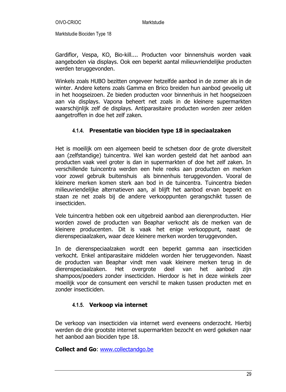OIVO-CRIOC Marktstudie

Marktstudie Biociden Type 18

Gardiflor, Vespa, KO, Bio-kill.... Producten voor binnenshuis worden vaak aangeboden via displays. Ook een beperkt aantal milieuvriendelijke producten werden teruggevonden.

Winkels zoals HUBO bezitten ongeveer hetzelfde aanbod in de zomer als in de winter. Andere ketens zoals Gamma en Brico breiden hun aanbod gevoelig uit in het hoogseizoen. Ze bieden producten voor binnenhuis in het hoogseizoen aan via displays. Vapona beheert net zoals in de kleinere supermarkten waarschijnlijk zelf de displays. Antiparasitaire producten worden zeer zelden aangetroffen in doe het zelf zaken.

# 4.1.4. Presentatie van biociden type 18 in speciaalzaken

Het is moeilijk om een algemeen beeld te schetsen door de grote diversiteit aan (zelfstandige) tuincentra. Wel kan worden gesteld dat het aanbod aan producten vaak veel groter is dan in supermarkten of doe het zelf zaken. In verschillende tuincentra werden een hele reeks aan producten en merken voor zowel gebruik buitenshuis als binnenhuis teruggevonden. Vooral de kleinere merken komen sterk aan bod in de tuincentra. Tuincentra bieden milieuvriendelijke alternatieven aan, al blijft het aanbod ervan beperkt en staan ze net zoals bij de andere verkooppunten gerangschikt tussen de insecticiden.

Vele tuincentra hebben ook een uitgebreid aanbod aan dierenproducten. Hier worden zowel de producten van Beaphar verkocht als de merken van de kleinere producenten. Dit is vaak het enige verkooppunt, naast de dierenspeciaalzaken, waar deze kleinere merken worden teruggevonden.

In de dierenspeciaalzaken wordt een beperkt gamma aan insecticiden verkocht. Enkel antiparasitaire middelen worden hier teruggevonden. Naast de producten van Beaphar vindt men vaak kleinere merken terug in de dierenspeciaalzaken. Het overgrote deel van het aanbod zijn shampoos/poeders zonder insecticiden. Hierdoor is het in deze winkels zeer moeilijk voor de consument een verschil te maken tussen producten met en zonder insecticiden.

# 4.1.5. Verkoop via internet

De verkoop van insecticiden via internet werd eveneens onderzocht. Hierbij werden de drie grootste internet supermarkten bezocht en werd gekeken naar het aanbod aan biociden type 18.

Collect and Go: www.collectandgo.be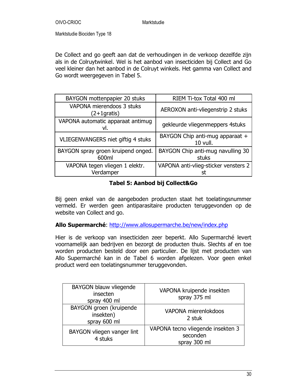De Collect and go geeft aan dat de verhoudingen in de verkoop dezelfde zijn als in de Colruytwinkel. Wel is het aanbod van insecticiden bij Collect and Go veel kleiner dan het aanbod in de Colruyt winkels. Het gamma van Collect and Go wordt weergegeven in Tabel 5.

| BAYGON mottenpapier 20 stuks                 | RIEM Ti-tox Total 400 ml                    |
|----------------------------------------------|---------------------------------------------|
| VAPONA mierendoos 3 stuks<br>$(2+1)$ gratis) | AEROXON anti-vliegenstrip 2 stuks           |
| VAPONA automatic apparaat antimug<br>vI.     | gekleurde vliegenmeppers 4stuks             |
| VLIEGENVANGERS niet giftig 4 stuks           | BAYGON Chip anti-mug apparaat +<br>10 vull. |
| BAYGON spray groen kruipend onged.<br>600ml  | BAYGON Chip anti-mug navulling 30<br>stuks  |
| VAPONA tegen vliegen 1 elektr.<br>Verdamper  | VAPONA anti-vlieg-sticker vensters 2        |

# Tabel 5: Aanbod bij Collect&Go

Bij geen enkel van de aangeboden producten staat het toelatingsnummer vermeld. Er werden geen antiparasitaire producten teruggevonden op de website van Collect and go.

#### Allo Supermarché: http://www.allosupermarche.be/new/index.php

Hier is de verkoop van insecticiden zeer beperkt. Allo Supermarché levert voornamelijk aan bedrijven en bezorgt de producten thuis. Slechts af en toe worden producten besteld door een particulier. De lijst met producten van Allo Supermarché kan in de Tabel 6 worden afgelezen. Voor geen enkel product werd een toelatingsnummer teruggevonden.

| <b>BAYGON blauw vliegende</b><br>insecten<br>spray 400 ml | VAPONA kruipende insekten<br>spray 375 ml                     |
|-----------------------------------------------------------|---------------------------------------------------------------|
| BAYGON groen (kruipende<br>insekten)<br>spray 600 ml      | VAPONA mierenlokdoos<br>2 stuk                                |
| BAYGON vliegen vanger lint<br>4 stuks                     | VAPONA tecno vliegende insekten 3<br>seconden<br>spray 300 ml |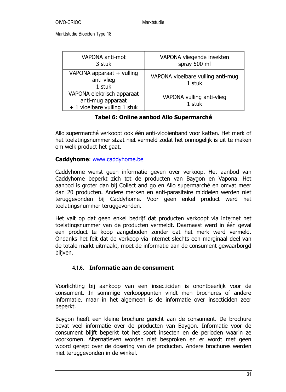| <b>VAPONA anti-mot</b><br>3 stuk                                                | VAPONA vliegende insekten<br>spray 500 ml   |
|---------------------------------------------------------------------------------|---------------------------------------------|
| VAPONA apparaat + vulling<br>anti-vlieg<br>1 stuk                               | VAPONA vloeibare vulling anti-mug<br>1 stuk |
| VAPONA elektrisch apparaat<br>anti-mug apparaat<br>+ 1 vloeibare vulling_1 stuk | VAPONA vulling anti-vlieg<br>1 stuk         |

# Tabel 6: Online aanbod Allo Supermarché

Allo supermarché verkoopt ook één anti-vlooienband voor katten. Het merk of het toelatingsnummer staat niet vermeld zodat het onmogelijk is uit te maken om welk product het gaat.

### Caddyhome: www.caddyhome.be

Caddyhome wenst geen informatie geven over verkoop. Het aanbod van Caddyhome beperkt zich tot de producten van Baygon en Vapona. Het aanbod is groter dan bij Collect and go en Allo supermarché en omvat meer dan 20 producten. Andere merken en anti-parasitaire middelen werden niet teruggevonden bij Caddyhome. Voor geen enkel product werd het toelatingsnummer teruggevonden.

Het valt op dat geen enkel bedrijf dat producten verkoopt via internet het toelatingsnummer van de producten vermeldt. Daarnaast werd in één geval een product te koop aangeboden zonder dat het merk werd vermeld. Ondanks het feit dat de verkoop via internet slechts een marginaal deel van de totale markt uitmaakt, moet de informatie aan de consument gewaarborgd blijven.

#### 4.1.6. Informatie aan de consument

Voorlichting bij aankoop van een insecticiden is onontbeerlijk voor de consument. In sommige verkooppunten vindt men brochures of andere informatie, maar in het algemeen is de informatie over insecticiden zeer beperkt.

Baygon heeft een kleine brochure gericht aan de consument. De brochure bevat veel informatie over de producten van Baygon. Informatie voor de consument blijft beperkt tot het soort insecten en de perioden waarin ze voorkomen. Alternatieven worden niet besproken en er wordt met geen woord gerept over de dosering van de producten. Andere brochures werden niet teruggevonden in de winkel.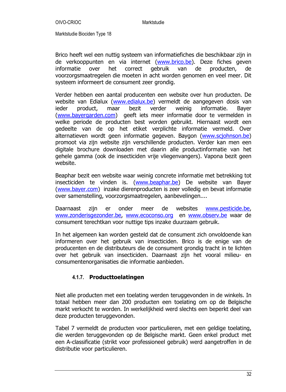Brico heeft wel een nuttig systeem van informatiefiches die beschikbaar zijn in de verkooppunten en via internet (www.brico.be). Deze fiches geven informatie over het correct gebruik van de producten, de voorzorgsmaatregelen die moeten in acht worden genomen en veel meer. Dit systeem informeert de consument zeer grondig.

Verder hebben een aantal producenten een website over hun producten. De website van Edialux (www.edialux.be) vermeldt de aangegeven dosis van ieder product, maar bezit verder weinig informatie. Bayer (www.bayergarden.com) geeft iets meer informatie door te vermelden in welke periode de producten best worden gebruikt. Hiernaast wordt een gedeelte van de op het etiket verplichte informatie vermeld. Over alternatieven wordt geen informatie gegeven. Baygon (www.scjohnson.be) promoot via zijn website zijn verschillende producten. Verder kan men een digitale brochure downloaden met daarin alle productinformatie van het gehele gamma (ook de insecticiden vrije vliegenvangers). Vapona bezit geen website.

Beaphar bezit een website waar weinig concrete informatie met betrekking tot insecticiden te vinden is. (www.beaphar.be) De website van Bayer (www.bayer.com) inzake dierenproducten is zeer volledig en bevat informatie over samenstelling, voorzorgsmaatregelen, aanbevelingen....

Daarnaast zijn er onder meer de websites www.pesticide.be, www.zonderisgezonder.be, www.ecoconso.org en www.observ.be waar de consument terechtkan voor nuttige tips inzake duurzaam gebruik.

In het algemeen kan worden gesteld dat de consument zich onvoldoende kan informeren over het gebruik van insecticiden. Brico is de enige van de producenten en de distributeurs die de consument grondig tracht in te lichten over het gebruik van insecticiden. Daarnaast zijn het vooral milieu- en consumentenorganisaties die informatie aanbieden.

# 4.1.7. Producttoelatingen

Niet alle producten met een toelating werden teruggevonden in de winkels. In totaal hebben meer dan 200 producten een toelating om op de Belgische markt verkocht te worden. In werkelijkheid werd slechts een beperkt deel van deze producten teruggevonden.

Tabel 7 vermeldt de producten voor particulieren, met een geldige toelating, die werden teruggevonden op de Belgische markt. Geen enkel product met een A-classificatie (strikt voor professioneel gebruik) werd aangetroffen in de distributie voor particulieren.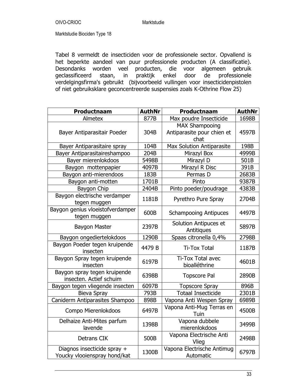Tabel 8 vermeldt de insecticiden voor de professionele sector. Opvallend is het beperkte aandeel van puur professionele producten (A classificatie).<br>Desondanks worden veel producten, die voor algemeen gebruik Desondanks worden veel producten, die voor algemeen gebruik geclassificeerd staan, in praktijk enkel door de professionele verdelgingsfirma's gebruikt (bijvoorbeeld vullingen voor insecticidenpistolen of niet gebruiksklare geconcentreerde suspensies zoals K-Othrine Flow 25)

| Productnaam                               | <b>AuthNr</b> | Productnaam                       | <b>AuthNr</b> |
|-------------------------------------------|---------------|-----------------------------------|---------------|
| Almetex                                   | 877B          | Max poudre Insecticide            | 1698B         |
|                                           |               | <b>MAX Shampooing</b>             |               |
| Bayer Antiparasitair Poeder               | 304B          | Antiparasite pour chien et        | 4597B         |
|                                           |               | chat                              |               |
| Bayer Antiparasitaire spray               | 104B          | <b>Max Solution Antiparasite</b>  | 198B          |
| Bayer Antiparasitaireshampoo              | 204B          | Mirazyl Box                       | 4999B         |
| Bayer mierenlokdoos                       | 5498B         | Mirazyl D                         | 501B          |
| Baygon mottenpapier                       | 4097B         | Mirazyl R Disc                    | 391B          |
| Baygon anti-mierendoos                    | 183B          | Permas D                          | 2683B         |
| Baygon anti-motten                        | 1701B         | Pinto                             | 9387B         |
| Baygon Chip                               | 2404B         | Pinto poeder/poudrage             | 4383B         |
| Baygon electrische verdamper              | 1181B         | Pyrethro Pure Spray               | 2704B         |
| tegen muggen                              |               |                                   |               |
| Baygon genius vloeistofverdamper          | 600B          | <b>Schampooing Antipuces</b>      | 4497B         |
| tegen muggen                              |               |                                   |               |
| Baygon Master                             | 2397B         | Solution Antipuces et             | 5897B         |
|                                           |               | Antitiques                        |               |
| Baygon ongediertelokdoos                  | 1290B         | Spaas citronella 0,4%             | 2798B         |
| Baygon Poeder tegen kruipende<br>insecten | 4479 B        | <b>Ti-Tox Total</b>               | 1187B         |
| Baygon Spray tegen kruipende              | 6197B         | Ti-Tox Total avec                 | 4601B         |
| insecten                                  |               | bioalléthrine                     |               |
| Baygon spray tegen kruipende              | 6398B         | <b>Topscore Pal</b>               | 2890B         |
| insecten. Actief schuim                   |               |                                   |               |
| Baygon tegen vliegende insecten           | 6097B         | <b>Topscore Spray</b>             | 896B          |
| <b>Bieva Spray</b>                        | 793B          | <b>Totaal Insecticide</b>         | 2301B         |
| Caniderm Antiparasites Shampoo            | 898B          | Vapona Anti Wespen Spray          | 6989B         |
| Compo Mierenlokdoos                       | 6497B         | Vapona Anti-Mug Terras en<br>Tuin | 4500B         |
| Delhaize Anti-Mites parfum                |               | Vapona dubbele                    |               |
| lavende                                   | 1398B         | mierenlokdoos                     | 3499B         |
| Detrans CIK                               | 500B          | Vapona Electrische Anti           | 2498B         |
|                                           |               | Vlieg                             |               |
| Diagnos insecticide spray +               | 1300B         | Vapona Electrische Antimug        | 6797B         |
| Youcky vlooienspray hond/kat              |               | Automatic                         |               |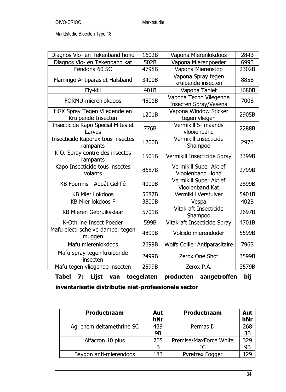| Diagnos Vlo- en Tekenband hond                     | 1602B | Vapona Mierenlokdoos                              | 284B  |
|----------------------------------------------------|-------|---------------------------------------------------|-------|
| Diagnos Vlo- en Tekenband kat                      | 502B  | Vapona Mierenpoeder                               | 699B  |
| Fendona 60 SC                                      | 4798B | Vapona Mierenstop                                 | 2302B |
| Flamingo Antiparasiet Halsband                     | 3400B | Vapona Spray tegen<br>kruipende insecten          | 885B  |
| Fly-kill                                           | 401B  | Vapona Tablet                                     | 1680B |
| FORMU-mierenlokdoos                                | 4501B | Vapona Tecno Vliegende<br>Insecten Spray/Vasena   | 700B  |
| HGX Spray Tegen Vliegende en<br>Kruipende Insecten | 1201B | Vapona Window Sticker<br>tegen vliegen            | 2905B |
| Insecticide Kapo Special Mites et<br>Larves        | 776B  | Vermikill 5- maands<br>vlooienband                | 2288B |
| Insecticide Kaporex tous insectes<br>rampants      | 1200B | Vermikill Insecticide<br>Shampoo                  | 297B  |
| K.O. Spray contre des insectes<br>rampants         | 1501B | Vermikill Insecticide Spray                       | 3399B |
| Kapo Insecticide tous insectes<br>volants          | 8687B | Vermikill Super Aktief<br><b>Vlooienband Hond</b> | 2799B |
| KB Fourmis - Appât Gélifié                         | 4000B | Vermikill Super Aktief<br>Vlooienband Kat         | 2899B |
| <b>KB Mier Lokdoos</b>                             | 5687B | Vermikill Verstuiver                              | 5401B |
| KB Mier lokdoos F                                  | 3800B | Vespa                                             | 402B  |
| <b>KB Mieren Gebruiksklaar</b>                     | 5701B | Vitakraft Insecticide<br>Shampoo                  | 2697B |
| K-Othrine Insect Poeder                            | 599B  | Vitakraft Insecticide Spray                       | 4701B |
| Mafu electrische verdamper tegen<br>muggen         | 4899B | Volcide mierendoder                               | 5599B |
| Mafu mierenlokdoos                                 | 2699B | Wolfs Collier Antiparasitaire                     | 796B  |
| Mafu spray tegen kruipende<br>insecten             | 2499B | Zerox One Shot                                    | 3599B |
| Mafu tegen vliegende insecten                      | 2599B | Zerox P.A.                                        | 3579B |

Tabel 7: Lijst van toegelaten producten aangetroffen bij inventarisatie distributie niet-professionele sector

| Productnaam               | Aut<br>hNr | Productnaam            | Aut<br>hNr |
|---------------------------|------------|------------------------|------------|
| Agrichem deltamethrine SC | 439        | Permas D               | 268        |
|                           | 9B         |                        | 3B         |
| Alfacron 10 plus          | 705        | Premise/MaxForce White | 329        |
|                           | В          |                        | 9B         |
| Baygon anti-mierendoos    | 183        | <b>Pyretrex Fogger</b> |            |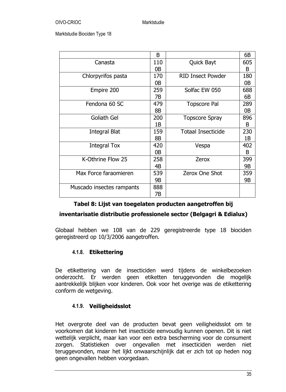|                           | B              |                           | 6B        |
|---------------------------|----------------|---------------------------|-----------|
| Canasta                   | 110            | Quick Bayt                | 605       |
|                           | 0B             |                           | B         |
| Chlorpyrifos pasta        | 170            | <b>RID Insect Powder</b>  | 180       |
|                           | 0B             |                           | 0B        |
| Empire 200                | 259            | Solfac EW 050             | 688       |
|                           | 7B             |                           | 6B        |
| Fendona 60 SC             | 479            | Topscore Pal              | 289       |
|                           | 8Β             |                           | 0B        |
| Goliath Gel               | 200            | <b>Topscore Spray</b>     | 896       |
|                           | 1B             |                           | B         |
| Integral Blat             | 159            | <b>Totaal Insecticide</b> | 230       |
|                           | 8B             |                           | 1B        |
| <b>Integral Tox</b>       | 420            | Vespa                     | 402       |
|                           | 0 <sub>B</sub> |                           | B         |
| K-Othrine Flow 25         | 258            | Zerox                     | 399       |
|                           | 4B             |                           | <b>9B</b> |
| Max Force faraomieren     | 539            | Zerox One Shot            | 359       |
|                           | 9B             |                           | 9B        |
| Muscado insectes rampants | 888            |                           |           |
|                           | 7B             |                           |           |

#### Tabel 8: Lijst van toegelaten producten aangetroffen bij

#### inventarisatie distributie professionele sector (Belgagri & Edialux)

Globaal hebben we 108 van de 229 geregistreerde type 18 biociden geregistreerd op 10/3/2006 aangetroffen.

#### 4.1.8. Etikettering

De etikettering van de insecticiden werd tijdens de winkelbezoeken onderzocht. Er werden geen etiketten teruggevonden die mogelijk aantrekkelijk blijken voor kinderen. Ook voor het overige was de etikettering conform de wetgeving.

# 4.1.9. Veiligheidsslot

Het overgrote deel van de producten bevat geen veiligheidsslot om te voorkomen dat kinderen het insecticide eenvoudig kunnen openen. Dit is niet wettelijk verplicht, maar kan voor een extra bescherming voor de consument zorgen. Statistieken over ongevallen met insecticiden werden niet teruggevonden, maar het lijkt onwaarschijnlijk dat er zich tot op heden nog geen ongevallen hebben voorgedaan.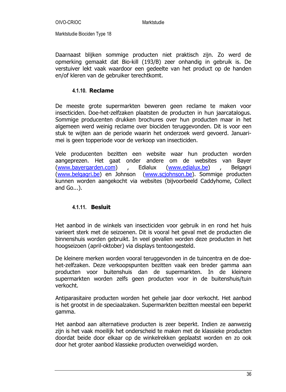OIVO-CRIOC Marktstudie

Marktstudie Biociden Type 18

Daarnaast blijken sommige producten niet praktisch zijn. Zo werd de opmerking gemaakt dat Bio-kill (193/B) zeer onhandig in gebruik is. De verstuiver lekt vaak waardoor een gedeelte van het product op de handen en/of kleren van de gebruiker terechtkomt.

### 4.1.10. Reclame

De meeste grote supermarkten beweren geen reclame te maken voor insecticiden. Doe-het-zelfzaken plaatsten de producten in hun jaarcatalogus. Sommige producenten drukken brochures over hun producten maar in het algemeen werd weinig reclame over biociden teruggevonden. Dit is voor een stuk te wijten aan de periode waarin het onderzoek werd gevoerd. Januarimei is geen topperiode voor de verkoop van insecticiden.

Vele producenten bezitten een website waar hun producten worden aangeprezen. Het gaat onder andere om de websites van Bayer (www.bayergarden.com) , Edialux (www.edialux.be) , Belgagri (www.belgagri.be) en Johnson (www.scjohnson.be). Sommige producten kunnen worden aangekocht via websites (bijvoorbeeld Caddyhome, Collect and Go...).

# 4.1.11. Besluit

Het aanbod in de winkels van insecticiden voor gebruik in en rond het huis varieert sterk met de seizoenen. Dit is vooral het geval met de producten die binnenshuis worden gebruikt. In veel gevallen worden deze producten in het hoogseizoen (april-oktober) via displays tentoongesteld.

De kleinere merken worden vooral teruggevonden in de tuincentra en de doehet-zelfzaken. Deze verkoopspunten bezitten vaak een breder gamma aan producten voor buitenshuis dan de supermarkten. In de kleinere supermarkten worden zelfs geen producten voor in de buitenshuis/tuin verkocht.

Antiparasitaire producten worden het gehele jaar door verkocht. Het aanbod is het grootst in de speciaalzaken. Supermarkten bezitten meestal een beperkt gamma.

Het aanbod aan alternatieve producten is zeer beperkt. Indien ze aanwezig zijn is het vaak moeilijk het onderscheid te maken met de klassieke producten doordat beide door elkaar op de winkelrekken geplaatst worden en zo ook door het groter aanbod klassieke producten overweldigd worden.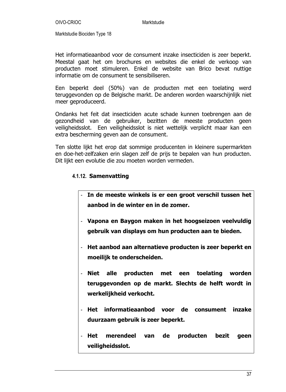Het informatieaanbod voor de consument inzake insecticiden is zeer beperkt. Meestal gaat het om brochures en websites die enkel de verkoop van producten moet stimuleren. Enkel de website van Brico bevat nuttige informatie om de consument te sensibiliseren.

Een beperkt deel (50%) van de producten met een toelating werd teruggevonden op de Belgische markt. De anderen worden waarschijnlijk niet meer geproduceerd.

Ondanks het feit dat insecticiden acute schade kunnen toebrengen aan de gezondheid van de gebruiker, bezitten de meeste producten geen veiligheidsslot. Een veiligheidsslot is niet wettelijk verplicht maar kan een extra bescherming geven aan de consument.

Ten slotte lijkt het erop dat sommige producenten in kleinere supermarkten en doe-het-zelfzaken erin slagen zelf de prijs te bepalen van hun producten. Dit lijkt een evolutie die zou moeten worden vermeden.

## 4.1.12. Samenvatting

In de meeste winkels is er een groot verschil tussen het aanbod in de winter en in de zomer.

- Vapona en Baygon maken in het hoogseizoen veelvuldig gebruik van displays om hun producten aan te bieden.
- Het aanbod aan alternatieve producten is zeer beperkt en moeilijk te onderscheiden.
- Niet alle producten met een toelating worden teruggevonden op de markt. Slechts de helft wordt in werkelijkheid verkocht.
- Het informatieaanbod voor de consument inzake duurzaam gebruik is zeer beperkt.
- Het merendeel van de producten bezit geen veiligheidsslot.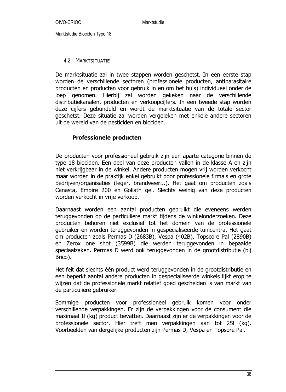#### 4.2. MARKTSITUATIE

De marktsituatie zal in twee stappen worden geschetst. In een eerste stap worden de verschillende sectoren (professionele producten, antiparasitaire producten en producten voor gebruik in en om het huis) individueel onder de loep genomen. Hierbij zal worden gekeken naar de verschillende distributiekanalen, producten en verkoopcijfers. In een tweede stap worden deze cijfers gebundeld en wordt de marktsituatie van de totale sector geschetst. Deze situatie zal worden vergeleken met enkele andere sectoren uit de wereld van de pesticiden en biociden.

## Professionele producten

De producten voor professioneel gebruik zijn een aparte categorie binnen de type 18 biociden. Een deel van deze producten vallen in de klasse A en zijn niet verkrijgbaar in de winkel. Andere producten mogen vrij worden verkocht maar worden in de praktijk enkel gebruikt door professionele firma's en grote bedrijven/organisaties (leger, brandweer...). Het gaat om producten zoals Canasta, Empire 200 en Goliath gel. Slechts weinig van deze producten worden verkocht in vrije verkoop.

Daarnaast worden een aantal producten gebruikt die eveneens werden teruggevonden op de particuliere markt tijdens de winkelonderzoeken. Deze producten behoren niet exclusief tot het domein van de professionele gebruiker en worden teruggevonden in gespecialiseerde tuincentra. Het gaat om producten zoals Permas D (2683B), Vespa (402B), Topscore Pal (2890B) en Zerox one shot (3599B) die werden teruggevonden in bepaalde speciaalzaken. Permas D werd ook teruggevonden in de grootdistributie (bij Brico).

Het feit dat slechts één product werd teruggevonden in de grootdistributie en een beperkt aantal andere producten in gespecialiseerde winkels lijkt erop te wijzen dat de professionele markt relatief goed gescheiden is van markt van de particuliere gebruiker.

Sommige producten voor professioneel gebruik komen voor onder verschillende verpakkingen. Er zijn de verpakkingen voor de consument die maximaal 1l (kg) product bevatten. Daarnaast zijn er de verpakkingen voor de professionele sector. Hier treft men verpakkingen aan tot 25l (kg). Voorbeelden van dergelijke producten zijn Permas D, Vespa en Topsore Pal.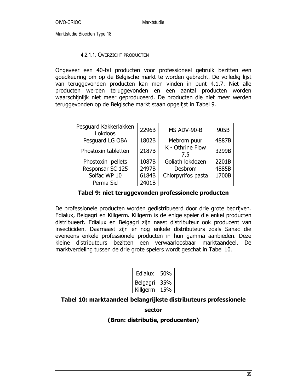#### 4.2.1.1. OVERZICHT PRODUCTEN

Ongeveer een 40-tal producten voor professioneel gebruik bezitten een goedkeuring om op de Belgische markt te worden gebracht. De volledig lijst van teruggevonden producten kan men vinden in punt 4.1.7. Niet alle producten werden teruggevonden en een aantal producten worden waarschijnlijk niet meer geproduceerd. De producten die niet meer werden teruggevonden op de Belgische markt staan opgelijst in Tabel 9.

| Pesguard Kakkerlakken<br>Lokdoos | 2296B | MS ADV-90-B             | 905B  |
|----------------------------------|-------|-------------------------|-------|
| Pesquard LG OBA                  | 1802B | Mebrom puur             | 4887B |
| Phostoxin tabletten              | 2187B | K - Othrine Flow<br>7,5 | 3299B |
| Phostoxin pellets                | 1087B | Goliath lokdozen        | 2201B |
| Responsar SC 125                 | 2497B | Desbrom                 | 4885B |
| Solfac WP 10                     | 6184B | Chlorpyrifos pasta      | 1700B |
| Perma Sid                        | 2401B |                         |       |

#### Tabel 9: niet teruggevonden professionele producten

De professionele producten worden gedistribueerd door drie grote bedrijven. Edialux, Belgagri en Killgerm. Killgerm is de enige speler die enkel producten distribueert. Edialux en Belgagri zijn naast distributeur ook producent van insecticiden. Daarnaast zijn er nog enkele distributeurs zoals Sanac die eveneens enkele professionele producten in hun gamma aanbieden. Deze kleine distributeurs bezitten een verwaarloosbaar marktaandeel. De marktverdeling tussen de drie grote spelers wordt geschat in Tabel 10.

| Edialux  | 50% |
|----------|-----|
| Belgagri | 35% |
| Killgerm | 15% |

# Tabel 10: marktaandeel belangrijkste distributeurs professionele

#### sector

(Bron: distributie, producenten)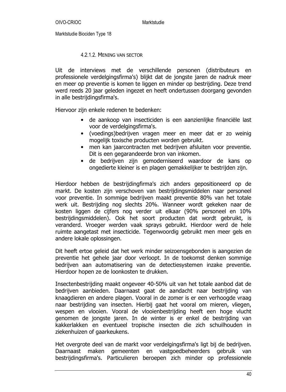#### 4.2.1.2. MENING VAN SECTOR

Uit de interviews met de verschillende personen (distributeurs en professionele verdelgingsfirma's) blijkt dat de jongste jaren de nadruk meer en meer op preventie is komen te liggen en minder op bestrijding. Deze trend werd reeds 20 jaar geleden ingezet en heeft ondertussen doorgang gevonden in alle bestrijdingsfirma's.

Hiervoor zijn enkele redenen te bedenken:

- de aankoop van insecticiden is een aanzienlijke financiële last voor de verdelgingsfirma's.
- (voedings)bedrijven vragen meer en meer dat er zo weinig mogelijk toxische producten worden gebruikt.
- men kan jaarcontracten met bedrijven afsluiten voor preventie. Dit is een gegarandeerde bron van inkomen.
- de bedrijven zijn gemoderniseerd waardoor de kans op ongedierte kleiner is en plagen gemakkelijker te bestrijden zijn.

Hierdoor hebben de bestrijdingfirma's zich anders gepositioneerd op de markt. De kosten zijn verschoven van bestrijdingsmiddelen naar personeel voor preventie. In sommige bedrijven maakt preventie 80% van het totale werk uit. Bestrijding nog slechts 20%. Wanneer wordt gekeken naar de kosten liggen de cijfers nog verder uit elkaar (90% personeel en 10% bestrijdingsmiddelen). Ook het soort producten dat wordt gebruikt, is veranderd. Vroeger werden vaak sprays gebruikt. Hierdoor werd de hele ruimte aangetast met insecticide. Tegenwoordig gebruikt men meer gels en andere lokale oplossingen.

Dit heeft ertoe geleid dat het werk minder seizoensgebonden is aangezien de preventie het gehele jaar door verloopt. In de toekomst denken sommige bedrijven aan automatisering van de detectiesystemen inzake preventie. Hierdoor hopen ze de loonkosten te drukken.

Insectenbestrijding maakt ongeveer 40-50% uit van het totale aanbod dat de bedrijven aanbieden. Daarnaast gaat de aandacht naar bestrijding van knaagdieren en andere plagen. Vooral in de zomer is er een verhoogde vraag naar bestrijding van insecten. Hierbij gaat het vooral om mieren, vliegen, wespen en vlooien. Vooral de vlooienbestrijding heeft een hoge vlucht genomen de jongste jaren. In de winter is er enkel de bestrijding van kakkerlakken en eventueel tropische insecten die zich schuilhouden in ziekenhuizen of gaarkeukens.

Het overgrote deel van de markt voor verdelgingsfirma's ligt bij de bedrijven. Daarnaast maken gemeenten en vastgoedbeheerders gebruik van bestrijdingsfirma's. Particulieren beroepen zich minder op professionele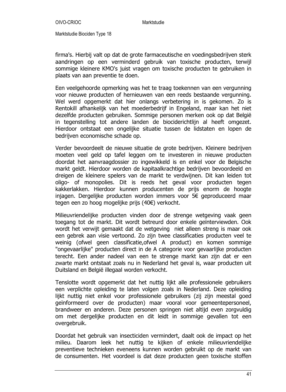OIVO-CRIOC Marktstudie

Marktstudie Biociden Type 18

firma's. Hierbij valt op dat de grote farmaceutische en voedingsbedrijven sterk aandringen op een verminderd gebruik van toxische producten, terwijl sommige kleinere KMO's juist vragen om toxische producten te gebruiken in plaats van aan preventie te doen.

Een veelgehoorde opmerking was het te traag toekennen van een vergunning voor nieuwe producten of hernieuwen van een reeds bestaande vergunning. Wel werd opgemerkt dat hier onlangs verbetering in is gekomen. Zo is Rentokill afhankelijk van het moederbedrijf in Engeland, maar kan het niet dezelfde producten gebruiken. Sommige personen merken ook op dat België in tegenstelling tot andere landen de biociderichtlijn al heeft omgezet. Hierdoor ontstaat een ongelijke situatie tussen de lidstaten en lopen de bedrijven economische schade op.

Verder bevoordeelt de nieuwe situatie de grote bedrijven. Kleinere bedrijven moeten veel geld op tafel leggen om te investeren in nieuwe producten doordat het aanvraagdossier zo ingewikkeld is en enkel voor de Belgische markt geldt. Hierdoor worden de kapitaalkrachtige bedrijven bevoordeeld en dreigen de kleinere spelers van de markt te verdwijnen. Dit kan leiden tot oligo- of monopolies. Dit is reeds het geval voor producten tegen kakkerlakken. Hierdoor kunnen producenten de prijs enorm de hoogte injagen. Dergelijke producten worden immers voor 5€ geproduceerd maar tegen een zo hoog mogelijke prijs (40€) verkocht.

Milieuvriendelijke producten vinden door de strenge wetgeving vaak geen toegang tot de markt. Dit wordt betreurd door enkele geïnterviewden. Ook wordt het verwijt gemaakt dat de wetgeving niet alleen streng is maar ook een gebrek aan visie vertoond. Zo zijn twee classificaties producten veel te weinig (ofwel geen classificatie,ofwel A product) en komen sommige "ongevaarlijke" producten direct in de A categorie voor gevaarlijke producten terecht. Een ander nadeel van een te strenge markt kan zijn dat er een zwarte markt ontstaat zoals nu in Nederland het geval is, waar producten uit Duitsland en België illegaal worden verkocht.

Tenslotte wordt opgemerkt dat het nuttig lijkt alle professionele gebruikers een verplichte opleiding te laten volgen zoals in Nederland. Deze opleiding lijkt nuttig niet enkel voor professionele gebruikers (zij zijn meestal goed geïnformeerd over de producten) maar vooral voor gemeentepersoneel, brandweer en anderen. Deze personen springen niet altijd even zorgvuldig om met dergelijke producten en dit leidt in sommige gevallen tot een overgebruik.

Doordat het gebruik van insecticiden vermindert, daalt ook de impact op het milieu. Daarom leek het nuttig te kijken of enkele milieuvriendelijke preventieve technieken eveneens kunnen worden gebruikt op de markt van de consumenten. Het voordeel is dat deze producten geen toxische stoffen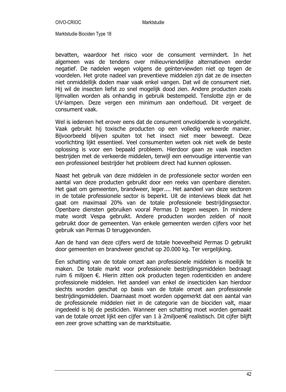bevatten, waardoor het risico voor de consument vermindert. In het algemeen was de tendens over milieuvriendelijke alternatieven eerder negatief. De nadelen wegen volgens de geïnterviewden niet op tegen de voordelen. Het grote nadeel van preventieve middelen zijn dat ze de insecten niet onmiddellijk doden maar vaak enkel vangen. Dat wil de consument niet. Hij wil de insecten liefst zo snel mogelijk dood zien. Andere producten zoals lijmvallen worden als onhandig in gebruik bestempeld. Tenslotte zijn er de UV-lampen. Deze vergen een minimum aan onderhoud. Dit vergeet de consument vaak.

Wel is iedereen het erover eens dat de consument onvoldoende is voorgelicht. Vaak gebruikt hij toxische producten op een volledig verkeerde manier. Bijvoorbeeld blijven spuiten tot het insect niet meer beweegt. Deze voorlichting lijkt essentieel. Veel consumenten weten ook niet welk de beste oplossing is voor een bepaald probleem. Hierdoor gaan ze vaak insecten bestrijden met de verkeerde middelen, terwijl een eenvoudige interventie van een professioneel bestrijder het probleem direct had kunnen oplossen.

Naast het gebruik van deze middelen in de professionele sector worden een aantal van deze producten gebruikt door een reeks van openbare diensten. Het gaat om gemeenten, brandweer, leger.... Het aandeel van deze sectoren in de totale professionele sector is beperkt. Uit de interviews bleek dat het gaat om maximaal 20% van de totale professionele bestrijdingssector. Openbare diensten gebruiken vooral Permas D tegen wespen. In mindere mate wordt Vespa gebruikt. Andere producten worden zelden of nooit gebruikt door de gemeenten. Van enkele gemeenten werden cijfers voor het gebruik van Permas D teruggevonden.

Aan de hand van deze cijfers werd de totale hoeveelheid Permas D gebruikt door gemeenten en brandweer geschat op 20.000 kg. Ter vergelijking.

Een schatting van de totale omzet aan professionele middelen is moeilijk te maken. De totale markt voor professionele bestrijdingsmiddelen bedraagt ruim 6 miljoen €. Hierin zitten ook producten tegen rodenticiden en andere professionele middelen. Het aandeel van enkel de insecticiden kan hierdoor slechts worden geschat op basis van de totale omzet aan professionele bestrijdingsmiddelen. Daarnaast moet worden opgemerkt dat een aantal van de professionele middelen niet in de categorie van de biociden valt, maar ingedeeld is bij de pesticiden. Wanneer een schatting moet worden gemaakt van de totale omzet lijkt een cijfer van 1 à 2miljoen€ realistisch. Dit cijfer blijft een zeer grove schatting van de marktsituatie.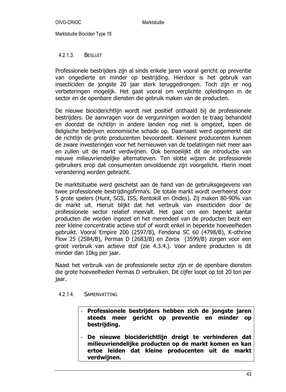4.2.1.3. BESLUIT

Professionele bestrijders zijn al sinds enkele jaren vooral gericht op preventie van ongedierte en minder op bestrijding. Hierdoor is het gebruik van insecticiden de jongste 20 jaar sterk teruggedrongen. Toch zijn er nog verbeteringen mogelijk. Het gaat vooral om verplichte opleidingen in de sector en de openbare diensten die gebruik maken van de producten.

De nieuwe biociderichtlijn wordt niet positief onthaald bij de professionele bestrijders. De aanvragen voor de vergunningen worden te traag behandeld en doordat de richtlijn in andere landen nog niet is omgezet, lopen de Belgische bedrijven economische schade op. Daarnaast werd opgemerkt dat de richtlijn de grote producenten bevoordeelt. Kleinere producenten kunnen de zware investeringen voor het hernieuwen van de toelatingen niet meer aan en zullen uit de markt verdwijnen. Ook bemoeilijkt dit de introductie van nieuwe milieuvriendelijke alternatieven. Ten slotte wijzen de professionele gebruikers erop dat consumenten onvoldoende zijn voorgelicht. Hierin moet verandering worden gebracht.

De marktsituatie werd geschetst aan de hand van de gebruiksgegevens van twee professionele bestrijdingsfirma's. De totale markt wordt overheerst door 5 grote spelers (Hunt, SGS, ISS, Rentokill en Ondes). Zij maken 80-90% van de markt uit. Hieruit blijkt dat het verbruik van insecticiden door de professionele sector relatief meevalt. Het gaat om een beperkt aantal producten die worden ingezet en het merendeel van de producten bezit een zeer kleine concentratie actieve stof of wordt enkel in beperkte hoeveelheden gebruikt. Vooral Empire 200 (2597/B), Fendona SC 60 (4798/B), K-othrine Flow 25 (2584/B), Permas D (2683/B) en Zerox (3599/B) zorgen voor een groot verbruik van actieve stof (zie 4.3.4.). Voor andere producten is dit minder dan 10kg per jaar.

Naast het verbruik van de professionele sector zijn er de openbare diensten die grote hoeveelheden Permas D verbruiken. Dit cijfer loopt op tot 20 ton per jaar.

#### 4.2.1.4. SAMENVATTING

- Professionele bestrijders hebben zich de jongste jaren steeds meer gericht op preventie en minder op bestrijding.
- De nieuwe biociderichtlijn dreigt te verhinderen dat milieuvriendelijke producten op de markt komen en kan ertoe leiden dat kleine producenten uit de markt verdwijnen.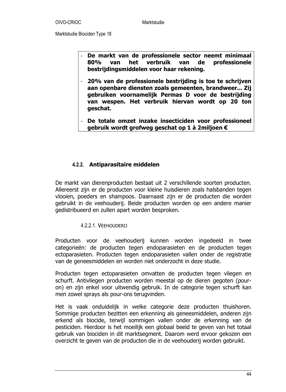- De markt van de professionele sector neemt minimaal 80% van het verbruik van de professionele bestrijdingsmiddelen voor haar rekening.
- 20% van de professionele bestrijding is toe te schrijven aan openbare diensten zoals gemeenten, brandweer... Zij gebruiken voornamelijk Permas D voor de bestrijding van wespen. Het verbruik hiervan wordt op 20 ton geschat.
- De totale omzet inzake insecticiden voor professioneel gebruik wordt grofweg geschat op 1 à 2miljoen €

# 4.2.2. Antiparasitaire middelen

De markt van dierenproducten bestaat uit 2 verschillende soorten producten. Allereerst zijn er de producten voor kleine huisdieren zoals halsbanden tegen vlooien, poeders en shampoos. Daarnaast zijn er de producten die worden gebruikt in de veehouderij. Beide producten worden op een andere manier gedistribueerd en zullen apart worden besproken.

### 4.2.2.1. VEEHOUDERIJ

Producten voor de veehouderij kunnen worden ingedeeld in twee categorieën: de producten tegen endoparasieten en de producten tegen ectoparasieten. Producten tegen endoparasieten vallen onder de registratie van de geneesmiddelen en worden niet onderzocht in deze studie.

Producten tegen ectoparasieten omvatten de producten tegen vliegen en schurft. Antivliegen producten worden meestal op de dieren gegoten (pouron) en zijn enkel voor uitwendig gebruik. In de categorie tegen schurft kan men zowel sprays als pour-ons terugvinden.

Het is vaak onduidelijk in welke categorie deze producten thuishoren. Sommige producten bezitten een erkenning als geneesmiddelen, anderen zijn erkend als biocide, terwijl sommigen vallen onder de erkenning van de pesticiden. Hierdoor is het moeilijk een globaal beeld te geven van het totaal gebruik van biociden in dit marktsegment. Daarom werd ervoor gekozen een overzicht te geven van de producten die in de veehouderij worden gebruikt.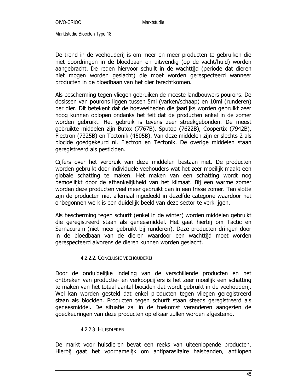De trend in de veehouderij is om meer en meer producten te gebruiken die niet doordringen in de bloedbaan en uitwendig (op de vacht/huid) worden aangebracht. De reden hiervoor schuilt in de wachttijd (periode dat dieren niet mogen worden geslacht) die moet worden gerespecteerd wanneer producten in de bloedbaan van het dier terechtkomen.

Als bescherming tegen vliegen gebruiken de meeste landbouwers pourons. De dosissen van pourons liggen tussen 5ml (varken/schaap) en 10ml (runderen) per dier. Dit betekent dat de hoeveelheden die jaarlijks worden gebruikt zeer hoog kunnen oplopen ondanks het feit dat de producten enkel in de zomer worden gebruikt. Het gebruik is tevens zeer streekgebonden. De meest gebruikte middelen zijn Butox (7767B), Sputop (7622B), Coopertix (7942B), Flectron (7325B) en Tectonik (4505B). Van deze middelen zijn er slechts 2 als biocide goedgekeurd nl. Flectron en Tectonik. De overige middelen staan geregistreerd als pesticiden.

Cijfers over het verbruik van deze middelen bestaan niet. De producten worden gebruikt door individuele veehouders wat het zeer moeilijk maakt een globale schatting te maken. Het maken van een schatting wordt nog bemoeilijkt door de afhankelijkheid van het klimaat. Bij een warme zomer worden deze producten veel meer gebruikt dan in een frisse zomer. Ten slotte zijn de producten niet allemaal ingedeeld in dezelfde categorie waardoor het onbegonnen werk is een duidelijk beeld van deze sector te verkrijgen.

Als bescherming tegen schurft (enkel in de winter) worden middelen gebruikt die geregistreerd staan als geneesmiddel. Het gaat hierbij om Tactic en Sarnacuram (niet meer gebruikt bij runderen). Deze producten dringen door in de bloedbaan van de dieren waardoor een wachttijd moet worden gerespecteerd alvorens de dieren kunnen worden geslacht.

### 4.2.2.2. CONCLUSIE VEEHOUDERIJ

Door de onduidelijke indeling van de verschillende producten en het ontbreken van productie- en verkoopcijfers is het zeer moeilijk een schatting te maken van het totaal aantal biociden dat wordt gebruikt in de veehouderij. Wel kan worden gesteld dat enkel producten tegen vliegen geregistreerd staan als biociden. Producten tegen schurft staan steeds geregistreerd als geneesmiddel. De situatie zal in de toekomst veranderen aangezien de goedkeuringen van deze producten op elkaar zullen worden afgestemd.

#### 4.2.2.3. HUISDIEREN

De markt voor huisdieren bevat een reeks van uiteenlopende producten. Hierbij gaat het voornamelijk om antiparasitaire halsbanden, antilopen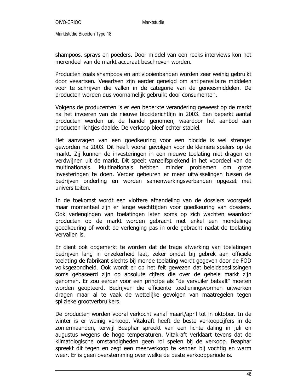shampoos, sprays en poeders. Door middel van een reeks interviews kon het merendeel van de markt accuraat beschreven worden.

Producten zoals shampoos en antivlooienbanden worden zeer weinig gebruikt door veeartsen. Veeartsen zijn eerder geneigd om antiparasitaire middelen voor te schrijven die vallen in de categorie van de geneesmiddelen. De producten worden dus voornamelijk gebruikt door consumenten.

Volgens de producenten is er een beperkte verandering geweest op de markt na het invoeren van de nieuwe biociderichtlijn in 2003. Een beperkt aantal producten werden uit de handel genomen, waardoor het aanbod aan producten lichtjes daalde. De verkoop bleef echter stabiel.

Het aanvragen van een goedkeuring voor een biocide is wel strenger geworden na 2003. Dit heeft vooral gevolgen voor de kleinere spelers op de markt. Zij kunnen de investeringen in een nieuwe toelating niet dragen en verdwijnen uit de markt. Dit speelt vanzelfsprekend in het voordeel van de multinationals. Multinationals hebben minder problemen om grote investeringen te doen. Verder gebeuren er meer uitwisselingen tussen de bedrijven onderling en worden samenwerkingsverbanden opgezet met universiteiten.

In de toekomst wordt een vlottere afhandeling van de dossiers voorspeld maar momenteel zijn er lange wachttijden voor goedkeuring van dossiers. Ook verlengingen van toelatingen laten soms op zich wachten waardoor producten op de markt worden gebracht met enkel een mondelinge goedkeuring of wordt de verlenging pas in orde gebracht nadat de toelating vervallen is.

Er dient ook opgemerkt te worden dat de trage afwerking van toelatingen bedrijven lang in onzekerheid laat, zeker omdat bij gebrek aan officiële toelating de fabrikant slechts bij monde toelating wordt gegeven door de FOD volksgezondheid. Ook wordt er op het feit gewezen dat beleidsbeslissingen soms gebaseerd zijn op absolute cijfers die over de gehele markt zijn genomen. Er zou eerder voor een principe als "de vervuiler betaalt" moeten worden geopteerd. Bedrijven die efficiënte toedieningsvormen uitwerken dragen maar al te vaak de wettelijke gevolgen van maatregelen tegen spilzieke grootverbruikers.

De producten worden vooral verkocht vanaf maart/april tot in oktober. In de winter is er weinig verkoop. Vitakraft heeft de beste verkoopcijfers in de zomermaanden, terwijl Beaphar spreekt van een lichte daling in juli en augustus wegens de hoge temperaturen. Vitakraft verklaart tevens dat de klimatologische omstandigheden geen rol spelen bij de verkoop. Beaphar spreekt dit tegen en zegt een meerverkoop te kennen bij vochtig en warm weer. Er is geen overstemming over welke de beste verkoopperiode is.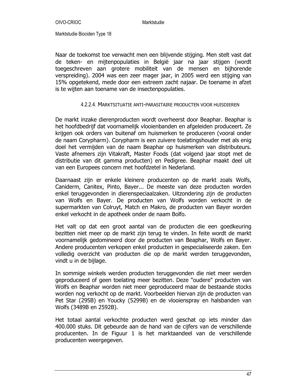Naar de toekomst toe verwacht men een blijvende stijging. Men stelt vast dat de teken- en mijtenpopulaties in België jaar na jaar stijgen (wordt toegeschreven aan grotere mobiliteit van de mensen en bijhorende verspreiding). 2004 was een zeer mager jaar, in 2005 werd een stijging van 15% opgetekend, mede door een extreem zacht najaar. De toename in afzet is te wijten aan toename van de insectenpopulaties.

#### 4.2.2.4. MARKTSITUATIE ANTI-PARASITAIRE PRODUCTEN VOOR HUISDIEREN

De markt inzake dierenproducten wordt overheerst door Beaphar. Beaphar is het hoofdbedrijf dat voornamelijk vlooienbanden en afgeleiden produceert. Ze krijgen ook orders van buitenaf om huismerken te produceren (vooral onder de naam Corypharm). Corypharm is een zuivere toelatingshouder met als enig doel het vermijden van de naam Beaphar op huismerken van distributeurs. Vaste afnemers zijn Vitakraft, Master Foods (dat volgend jaar stopt met de distributie van dit gamma producten) en Pedigree. Beaphar maakt deel uit van een Europees concern met hoofdzetel in Nederland.

Daarnaast zijn er enkele kleinere producenten op de markt zoals Wolfs, Caniderm, Canitex, Pinto, Bayer... De meeste van deze producten worden enkel teruggevonden in dierenspeciaalzaken. Uitzondering zijn de producten van Wolfs en Bayer. De producten van Wolfs worden verkocht in de supermarkten van Colruyt, Match en Makro, de producten van Bayer worden enkel verkocht in de apotheek onder de naam Bolfo.

Het valt op dat een groot aantal van de producten die een goedkeuring bezitten niet meer op de markt zijn terug te vinden. In feite wordt de markt voornamelijk gedomineerd door de producten van Beaphar, Wolfs en Bayer. Andere producenten verkopen enkel producten in gespecialiseerde zaken. Een volledig overzicht van producten die op de markt werden teruggevonden, vindt u in de bijlage.

In sommige winkels werden producten teruggevonden die niet meer werden geproduceerd of geen toelating meer bezitten. Deze "oudere" producten van Wolfs en Beaphar worden niet meer geproduceerd maar de bestaande stocks worden nog verkocht op de markt. Voorbeelden hiervan zijn de producten van Pet Star (295B) en Youcky (5299B) en de vlooienspray en halsbanden van Wolfs (3489B en 2592B).

Het totaal aantal verkochte producten werd geschat op iets minder dan 400.000 stuks. Dit gebeurde aan de hand van de cijfers van de verschillende producenten. In de Figuur 1 is het marktaandeel van de verschillende producenten weergegeven.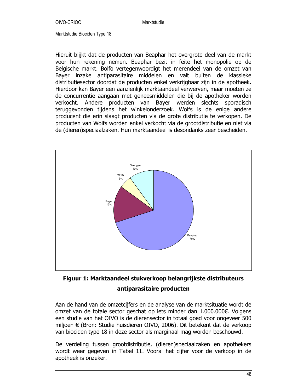Hieruit blijkt dat de producten van Beaphar het overgrote deel van de markt voor hun rekening nemen. Beaphar bezit in feite het monopolie op de Belgische markt. Bolfo vertegenwoordigt het merendeel van de omzet van Bayer inzake antiparasitaire middelen en valt buiten de klassieke distributiesector doordat de producten enkel verkrijgbaar zijn in de apotheek. Hierdoor kan Bayer een aanzienlijk marktaandeel verwerven, maar moeten ze de concurrentie aangaan met geneesmiddelen die bij de apotheker worden verkocht. Andere producten van Bayer werden slechts sporadisch teruggevonden tijdens het winkelonderzoek. Wolfs is de enige andere producent die erin slaagt producten via de grote distributie te verkopen. De producten van Wolfs worden enkel verkocht via de grootdistributie en niet via de (dieren)speciaalzaken. Hun marktaandeel is desondanks zeer bescheiden.





Aan de hand van de omzetcijfers en de analyse van de marktsituatie wordt de omzet van de totale sector geschat op iets minder dan 1.000.000€. Volgens een studie van het OIVO is de dierensector in totaal goed voor ongeveer 500 miljoen € (Bron: Studie huisdieren OIVO, 2006). Dit betekent dat de verkoop van biociden type 18 in deze sector als marginaal mag worden beschouwd.

De verdeling tussen grootdistributie, (dieren)speciaalzaken en apothekers wordt weer gegeven in Tabel 11. Vooral het cijfer voor de verkoop in de apotheek is onzeker.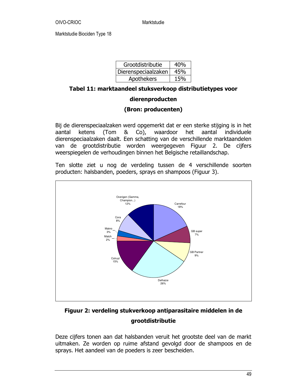| Grootdistributie    | 40% |
|---------------------|-----|
| Dierenspeciaalzaken | 45% |
| Apothekers          | 15% |

# Tabel 11: marktaandeel stuksverkoop distributietypes voor

#### dierenproducten

### (Bron: producenten)

Bij de dierenspeciaalzaken werd opgemerkt dat er een sterke stijging is in het aantal ketens (Tom & Co), waardoor het aantal individuele dierenspeciaalzaken daalt. Een schatting van de verschillende marktaandelen van de grootdistributie worden weergegeven Figuur 2. De cijfers weerspiegelen de verhoudingen binnen het Belgische retaillandschap.

Ten slotte ziet u nog de verdeling tussen de 4 verschillende soorten producten: halsbanden, poeders, sprays en shampoos (Figuur 3).



# Figuur 2: verdeling stukverkoop antiparasitaire middelen in de grootdistributie

Deze cijfers tonen aan dat halsbanden veruit het grootste deel van de markt uitmaken. Ze worden op ruime afstand gevolgd door de shampoos en de sprays. Het aandeel van de poeders is zeer bescheiden.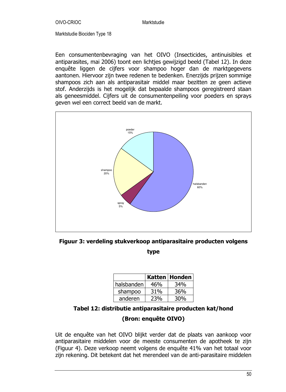Een consumentenbevraging van het OIVO (Insecticides, antinuisibles et antiparasites, mai 2006) toont een lichtjes gewijzigd beeld (Tabel 12). In deze enquête liggen de cijfers voor shampoo hoger dan de marktgegevens aantonen. Hiervoor zijn twee redenen te bedenken. Enerzijds prijzen sommige shampoos zich aan als antiparasitair middel maar bezitten ze geen actieve stof. Anderzijds is het mogelijk dat bepaalde shampoos geregistreerd staan als geneesmiddel. Cijfers uit de consumentenpeiling voor poeders en sprays geven wel een correct beeld van de markt.





type

|            |            | Katten   Honden |
|------------|------------|-----------------|
| halsbanden | 46%        | 34%             |
| shampoo    | <b>31%</b> | 36%             |
| anderen    | 23%        | 30%             |

# Tabel 12: distributie antiparasitaire producten kat/hond

# (Bron: enquête OIVO)

Uit de enquête van het OIVO blijkt verder dat de plaats van aankoop voor antiparasitaire middelen voor de meeste consumenten de apotheek te zijn (Figuur 4). Deze verkoop neemt volgens de enquête 41% van het totaal voor zijn rekening. Dit betekent dat het merendeel van de anti-parasitaire middelen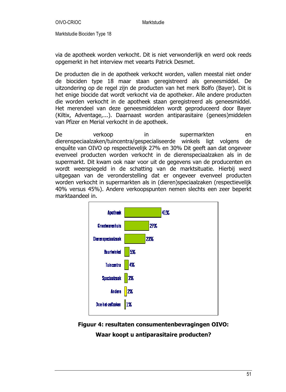via de apotheek worden verkocht. Dit is niet verwonderlijk en werd ook reeds opgemerkt in het interview met veearts Patrick Desmet.

De producten die in de apotheek verkocht worden, vallen meestal niet onder de biociden type 18 maar staan geregistreerd als geneesmiddel. De uitzondering op de regel zijn de producten van het merk Bolfo (Bayer). Dit is het enige biocide dat wordt verkocht via de apotheker. Alle andere producten die worden verkocht in de apotheek staan geregistreerd als geneesmiddel. Het merendeel van deze geneesmiddelen wordt geproduceerd door Bayer (Kiltix, Adventage,...). Daarnaast worden antiparasitaire (genees)middelen van Pfizer en Merial verkocht in de apotheek.

De verkoop in supermarkten en dierenspeciaalzaken/tuincentra/gespecialiseerde winkels ligt volgens de enquête van OIVO op respectievelijk 27% en 30% Dit geeft aan dat ongeveer evenveel producten worden verkocht in de dierenspeciaalzaken als in de supermarkt. Dit kwam ook naar voor uit de gegevens van de producenten en wordt weerspiegeld in de schatting van de marktsituatie. Hierbij werd uitgegaan van de veronderstelling dat er ongeveer evenveel producten worden verkocht in supermarkten als in (dieren)speciaalzaken (respectievelijk 40% versus 45%). Andere verkoopspunten nemen slechts een zeer beperkt marktaandeel in.



Figuur 4: resultaten consumentenbevragingen OIVO: Waar koopt u antiparasitaire producten?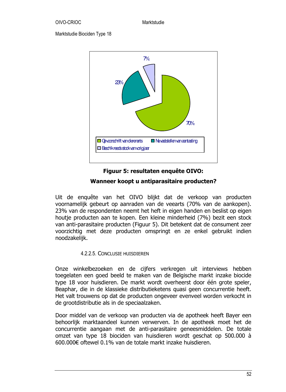OIVO-CRIOC Marktstudie

Marktstudie Biociden Type 18



# Figuur 5: resultaten enquête OIVO:

# Wanneer koopt u antiparasitaire producten?

Uit de enquête van het OIVO blijkt dat de verkoop van producten voornamelijk gebeurt op aanraden van de veearts (70% van de aankopen). 23% van de respondenten neemt het heft in eigen handen en beslist op eigen houtje producten aan te kopen. Een kleine minderheid (7%) bezit een stock van anti-parasitaire producten (Figuur 5). Dit betekent dat de consument zeer voorzichtig met deze producten omspringt en ze enkel gebruikt indien noodzakelijk.

# 4.2.2.5. CONCLUSIE HUISDIEREN

Onze winkelbezoeken en de cijfers verkregen uit interviews hebben toegelaten een goed beeld te maken van de Belgische markt inzake biocide type 18 voor huisdieren. De markt wordt overheerst door één grote speler, Beaphar, die in de klassieke distributieketens quasi geen concurrentie heeft. Het valt trouwens op dat de producten ongeveer evenveel worden verkocht in de grootdistributie als in de speciaalzaken.

Door middel van de verkoop van producten via de apotheek heeft Bayer een behoorlijk marktaandeel kunnen verwerven. In de apotheek moet het de concurrentie aangaan met de anti-parasitaire geneesmiddelen. De totale omzet van type 18 biociden van huisdieren wordt geschat op 500.000 à 600.000€ oftewel 0.1% van de totale markt inzake huisdieren.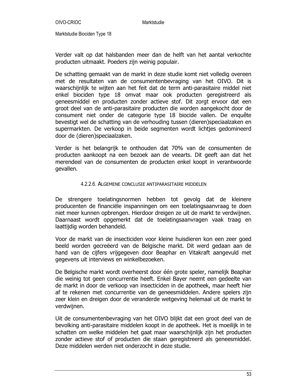Verder valt op dat halsbanden meer dan de helft van het aantal verkochte producten uitmaakt. Poeders zijn weinig populair.

De schatting gemaakt van de markt in deze studie komt niet volledig overeen met de resultaten van de consumentenbevraging van het OIVO. Dit is waarschijnlijk te wijten aan het feit dat de term anti-parasitaire middel niet enkel biociden type 18 omvat maar ook producten geregistreerd als geneesmiddel en producten zonder actieve stof. Dit zorgt ervoor dat een groot deel van de anti-parasitaire producten die worden aangekocht door de consument niet onder de categorie type 18 biocide vallen. De enquête bevestigt wel de schatting van de verhouding tussen (dieren)speciaalzaken en supermarkten. De verkoop in beide segmenten wordt lichtjes gedomineerd door de (dieren)speciaalzaken.

Verder is het belangrijk te onthouden dat 70% van de consumenten de producten aankoopt na een bezoek aan de veearts. Dit geeft aan dat het merendeel van de consumenten de producten enkel koopt in verantwoorde gevallen.

#### 4.2.2.6. ALGEMENE CONCLUSIE ANTIPARASITAIRE MIDDELEN

De strengere toelatingsnormen hebben tot gevolg dat de kleinere producenten de financiële inspanningen om een toelatingsaanvraag te doen niet meer kunnen opbrengen. Hierdoor dreigen ze uit de markt te verdwijnen. Daarnaast wordt opgemerkt dat de toelatingsaanvragen vaak traag en laattijdig worden behandeld.

Voor de markt van de insecticiden voor kleine huisdieren kon een zeer goed beeld worden gecreëerd van de Belgische markt. Dit werd gedaan aan de hand van de cijfers vrijgegeven door Beaphar en Vitakraft aangevuld met gegevens uit interviews en winkelbezoeken.

De Belgische markt wordt overheerst door één grote speler, namelijk Beaphar die weinig tot geen concurrentie heeft. Enkel Bayer neemt een gedeelte van de markt in door de verkoop van insecticiden in de apotheek, maar heeft hier af te rekenen met concurrentie van de geneesmiddelen. Andere spelers zijn zeer klein en dreigen door de veranderde wetgeving helemaal uit de markt te verdwijnen.

Uit de consumentenbevraging van het OIVO blijkt dat een groot deel van de bevolking anti-parasitaire middelen koopt in de apotheek. Het is moeilijk in te schatten om welke middelen het gaat maar waarschijnlijk zijn het producten zonder actieve stof of producten die staan geregistreerd als geneesmiddel. Deze middelen werden niet onderzocht in deze studie.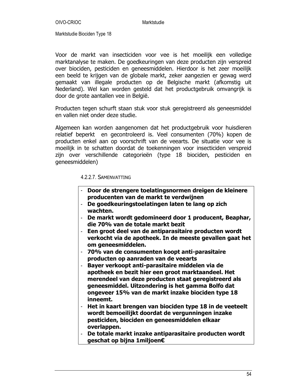OIVO-CRIOC Marktstudie

Marktstudie Biociden Type 18

Voor de markt van insecticiden voor vee is het moeilijk een volledige marktanalyse te maken. De goedkeuringen van deze producten zijn verspreid over biociden, pesticiden en geneesmiddelen. Hierdoor is het zeer moeilijk een beeld te krijgen van de globale markt, zeker aangezien er gewag werd gemaakt van illegale producten op de Belgische markt (afkomstig uit Nederland). Wel kan worden gesteld dat het productgebruik omvangrijk is door de grote aantallen vee in België.

Producten tegen schurft staan stuk voor stuk geregistreerd als geneesmiddel en vallen niet onder deze studie.

Algemeen kan worden aangenomen dat het productgebruik voor huisdieren relatief beperkt en gecontroleerd is. Veel consumenten (70%) kopen de producten enkel aan op voorschrift van de veearts. De situatie voor vee is moeilijk in te schatten doordat de toekenningen voor insecticiden verspreid zijn over verschillende categorieën (type 18 biociden, pesticiden en geneesmiddelen)

4.2.2.7. SAMENVATTING

- Door de strengere toelatingsnormen dreigen de kleinere producenten van de markt te verdwijnen
- De goedkeuringstoelatingen laten te lang op zich wachten.
- De markt wordt gedomineerd door 1 producent, Beaphar, die 70% van de totale markt bezit
- Een groot deel van de antiparasitaire producten wordt verkocht via de apotheek. In de meeste gevallen gaat het om geneesmiddelen.
- 70% van de consumenten koopt anti-parasitaire producten op aanraden van de veearts
- Bayer verkoopt anti-parasitaire middelen via de apotheek en bezit hier een groot marktaandeel. Het merendeel van deze producten staat geregistreerd als geneesmiddel. Uitzondering is het gamma Bolfo dat ongeveer 15% van de markt inzake biociden type 18 inneemt.
- Het in kaart brengen van biociden type 18 in de veeteelt wordt bemoeilijkt doordat de vergunningen inzake pesticiden, biociden en geneesmiddelen elkaar overlappen.
- De totale markt inzake antiparasitaire producten wordt geschat op bijna 1miljoen€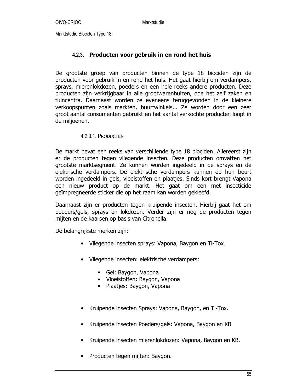# 4.2.3. Producten voor gebruik in en rond het huis

De grootste groep van producten binnen de type 18 biociden zijn de producten voor gebruik in en rond het huis. Het gaat hierbij om verdampers, sprays, mierenlokdozen, poeders en een hele reeks andere producten. Deze producten zijn verkrijgbaar in alle grootwarenhuizen, doe het zelf zaken en tuincentra. Daarnaast worden ze eveneens teruggevonden in de kleinere verkoopspunten zoals markten, buurtwinkels... Ze worden door een zeer groot aantal consumenten gebruikt en het aantal verkochte producten loopt in de miljoenen.

### 4.2.3.1. PRODUCTEN

De markt bevat een reeks van verschillende type 18 biociden. Allereerst zijn er de producten tegen vliegende insecten. Deze producten omvatten het grootste marktsegment. Ze kunnen worden ingedeeld in de sprays en de elektrische verdampers. De elektrische verdampers kunnen op hun beurt worden ingedeeld in gels, vloeistoffen en plaatjes. Sinds kort brengt Vapona een nieuw product op de markt. Het gaat om een met insecticide geïmpregneerde sticker die op het raam kan worden gekleefd.

Daarnaast zijn er producten tegen kruipende insecten. Hierbij gaat het om poeders/gels, sprays en lokdozen. Verder zijn er nog de producten tegen mijten en de kaarsen op basis van Citronella.

De belangrijkste merken zijn:

- Vliegende insecten sprays: Vapona, Baygon en Ti-Tox.
- Vliegende insecten: elektrische verdampers:
	- Gel: Baygon, Vapona
	- Vloeistoffen: Baygon, Vapona
	- Plaatjes: Baygon, Vapona
- Kruipende insecten Sprays: Vapona, Baygon, en Ti-Tox.
- Kruipende insecten Poeders/gels: Vapona, Baygon en KB
- Kruipende insecten mierenlokdozen: Vapona, Baygon en KB.
- Producten tegen mijten: Baygon.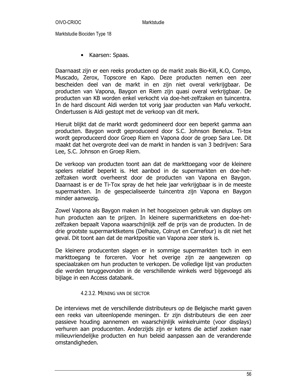• Kaarsen: Spaas.

Daarnaast zijn er een reeks producten op de markt zoals Bio-Kill, K.O, Compo, Muscado, Zerox, Topscore en Kapo. Deze producten nemen een zeer bescheiden deel van de markt in en zijn niet overal verkrijgbaar. De producten van Vapona, Baygon en Riem zijn quasi overal verkrijgbaar. De producten van KB worden enkel verkocht via doe-het-zelfzaken en tuincentra. In de hard discount Aldi werden tot vorig jaar producten van Mafu verkocht. Ondertussen is Aldi gestopt met de verkoop van dit merk.

Hieruit blijkt dat de markt wordt gedomineerd door een beperkt gamma aan producten. Baygon wordt geproduceerd door S.C. Johnson Benelux. Ti-tox wordt geproduceerd door Groep Riem en Vapona door de groep Sara Lee. Dit maakt dat het overgrote deel van de markt in handen is van 3 bedrijven: Sara Lee, S.C. Johnson en Groep Riem.

De verkoop van producten toont aan dat de markttoegang voor de kleinere spelers relatief beperkt is. Het aanbod in de supermarkten en doe-hetzelfzaken wordt overheerst door de producten van Vapona en Baygon. Daarnaast is er de Ti-Tox spray de het hele jaar verkrijgbaar is in de meeste supermarkten. In de gespecialiseerde tuincentra zijn Vapona en Baygon minder aanwezig.

Zowel Vapona als Baygon maken in het hoogseizoen gebruik van displays om hun producten aan te prijzen. In kleinere supermarktketens en doe-hetzelfzaken bepaalt Vapona waarschijnlijk zelf de prijs van de producten. In de drie grootste supermarktketens (Delhaize, Colruyt en Carrefour) is dit niet het geval. Dit toont aan dat de marktpositie van Vapona zeer sterk is.

De kleinere producenten slagen er in sommige supermarkten toch in een markttoegang te forceren. Voor het overige zijn ze aangewezen op speciaalzaken om hun producten te verkopen. De volledige lijst van producten die werden teruggevonden in de verschillende winkels werd bijgevoegd als bijlage in een Access databank.

#### 4.2.3.2. MENING VAN DE SECTOR

De interviews met de verschillende distributeurs op de Belgische markt gaven een reeks van uiteenlopende meningen. Er zijn distributeurs die een zeer passieve houding aannemen en waarschijnlijk winkelruimte (voor displays) verhuren aan producenten. Anderzijds zijn er ketens die actief zoeken naar milieuvriendelijke producten en hun beleid aanpassen aan de veranderende omstandigheden.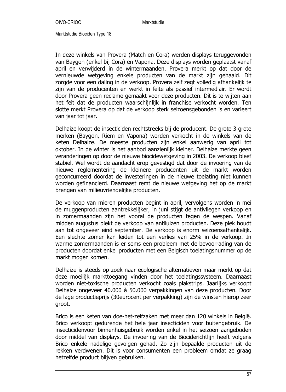In deze winkels van Provera (Match en Cora) werden displays teruggevonden van Baygon (enkel bij Cora) en Vapona. Deze displays worden geplaatst vanaf april en verwijderd in de wintermaanden. Provera merkt op dat door de vernieuwde wetgeving enkele producten van de markt zijn gehaald. Dit zorgde voor een daling in de verkoop. Provera zelf zegt volledig afhankelijk te zijn van de producenten en werkt in feite als passief intermediair. Er wordt door Provera geen reclame gemaakt voor deze producten. Dit is te wijten aan het feit dat de producten waarschijnlijk in franchise verkocht worden. Ten slotte merkt Provera op dat de verkoop sterk seizoensgebonden is en varieert van jaar tot jaar.

Delhaize koopt de insecticiden rechtstreeks bij de producent. De grote 3 grote merken (Baygon, Riem en Vapona) worden verkocht in de winkels van de keten Delhaize. De meeste producten zijn enkel aanwezig van april tot oktober. In de winter is het aanbod aanzienlijk kleiner. Delhaize merkte geen veranderingen op door de nieuwe biocidewetgeving in 2003. De verkoop bleef stabiel. Wel wordt de aandacht erop gevestigd dat door de invoering van de nieuwe reglementering de kleinere producenten uit de markt worden geconcurreerd doordat de investeringen in de nieuwe toelating niet kunnen worden gefinancierd. Daarnaast remt de nieuwe wetgeving het op de markt brengen van milieuvriendelijke producten.

De verkoop van mieren producten begint in april, vervolgens worden in mei de muggenproducten aantrekkelijker, in juni stijgt de antivliegen verkoop en in zomermaanden zijn het vooral de producten tegen de wespen. Vanaf midden augustus piekt de verkoop van antiluizen producten. Deze piek houdt aan tot ongeveer eind september. De verkoop is enorm seizoensafhankelijk. Een slechte zomer kan leiden tot een verlies van 25% in de verkoop. In warme zomermaanden is er soms een probleem met de bevoorrading van de producten doordat enkel producten met een Belgisch toelatingsnummer op de markt mogen komen.

Delhaize is steeds op zoek naar ecologische alternatieven maar merkt op dat deze moeilijk markttoegang vinden door het toelatingssysteem. Daarnaast worden niet-toxische producten verkocht zoals plakstrips. Jaarlijks verkoopt Delhaize ongeveer 40.000 à 50.000 verpakkingen van deze producten. Door de lage productieprijs (30eurocent per verpakking) zijn de winsten hierop zeer groot.

Brico is een keten van doe-het-zelfzaken met meer dan 120 winkels in België. Brico verkoopt gedurende het hele jaar insecticiden voor buitengebruik. De insecticidenvoor binnenhuisgebruik worden enkel in het seizoen aangeboden door middel van displays. De invoering van de Biociderichtlijn heeft volgens Brico enkele nadelige gevolgen gehad. Zo zijn bepaalde producten uit de rekken verdwenen. Dit is voor consumenten een probleem omdat ze graag hetzelfde product blijven gebruiken.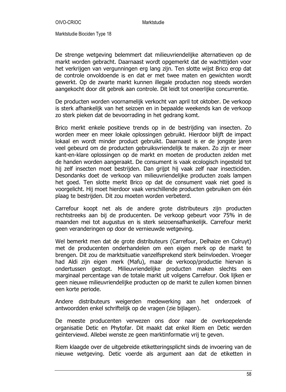De strenge wetgeving belemmert dat milieuvriendelijke alternatieven op de markt worden gebracht. Daarnaast wordt opgemerkt dat de wachttijden voor het verkrijgen van vergunningen erg lang zijn. Ten slotte wijst Brico erop dat de controle onvoldoende is en dat er met twee maten en gewichten wordt gewerkt. Op de zwarte markt kunnen illegale producten nog steeds worden aangekocht door dit gebrek aan controle. Dit leidt tot oneerlijke concurrentie.

De producten worden voornamelijk verkocht van april tot oktober. De verkoop is sterk afhankelijk van het seizoen en in bepaalde weekends kan de verkoop zo sterk pieken dat de bevoorrading in het gedrang komt.

Brico merkt enkele positieve trends op in de bestrijding van insecten. Zo worden meer en meer lokale oplossingen gebruikt. Hierdoor blijft de impact lokaal en wordt minder product gebruikt. Daarnaast is er de jongste jaren veel gebeurd om de producten gebruiksvriendelijk te maken. Zo zijn er meer kant-en-klare oplossingen op de markt en moeten de producten zelden met de handen worden aangeraakt. De consument is vaak ecologisch ingesteld tot hij zelf insecten moet bestrijden. Dan grijpt hij vaak zelf naar insecticiden. Desondanks doet de verkoop van milieuvriendelijke producten zoals lampen het goed. Ten slotte merkt Brico op dat de consument vaak niet goed is voorgelicht. Hij moet hierdoor vaak verschillende producten gebruiken om één plaag te bestrijden. Dit zou moeten worden verbeterd.

Carrefour koopt net als de andere grote distributeurs zijn producten rechtstreeks aan bij de producenten. De verkoop gebeurt voor 75% in de maanden mei tot augustus en is sterk seizoensafhankelijk. Carrefour merkt geen veranderingen op door de vernieuwde wetgeving.

Wel bemerkt men dat de grote distributeurs (Carrefour, Delhaize en Colruyt) met de producenten onderhandelen om een eigen merk op de markt te brengen. Dit zou de marktsituatie vanzelfsprekend sterk beïnvloeden. Vroeger had Aldi zijn eigen merk (Mafu), maar de verkoop/productie hiervan is ondertussen gestopt. Milieuvriendelijke producten maken slechts een marginaal percentage van de totale markt uit volgens Carrefour. Ook lijken er geen nieuwe milieuvriendelijke producten op de markt te zullen komen binnen een korte periode.

Andere distributeurs weigerden medewerking aan het onderzoek of antwoordden enkel schriftelijk op de vragen (zie bijlagen).

De meeste producenten verwezen ons door naar de overkoepelende organisatie Detic en Phytofar. Dit maakt dat enkel Riem en Detic werden geïnterviewd. Allebei wenste ze geen marktinformatie vrij te geven.

Riem klaagde over de uitgebreide etiketteringsplicht sinds de invoering van de nieuwe wetgeving. Detic voerde als argument aan dat de etiketten in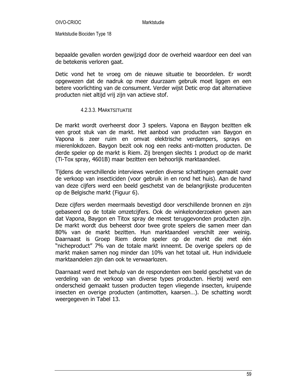bepaalde gevallen worden gewijzigd door de overheid waardoor een deel van de betekenis verloren gaat.

Detic vond het te vroeg om de nieuwe situatie te beoordelen. Er wordt opgewezen dat de nadruk op meer duurzaam gebruik moet liggen en een betere voorlichting van de consument. Verder wijst Detic erop dat alternatieve producten niet altijd vrij zijn van actieve stof.

#### 4.2.3.3. MARKTSITUATIE

De markt wordt overheerst door 3 spelers. Vapona en Baygon bezitten elk een groot stuk van de markt. Het aanbod van producten van Baygon en Vapona is zeer ruim en omvat elektrische verdampers, sprays en mierenlokdozen. Baygon bezit ook nog een reeks anti-motten producten. De derde speler op de markt is Riem. Zij brengen slechts 1 product op de markt (Ti-Tox spray, 4601B) maar bezitten een behoorlijk marktaandeel.

Tijdens de verschillende interviews werden diverse schattingen gemaakt over de verkoop van insecticiden (voor gebruik in en rond het huis). Aan de hand van deze cijfers werd een beeld geschetst van de belangrijkste producenten op de Belgische markt (Figuur 6).

Deze cijfers werden meermaals bevestigd door verschillende bronnen en zijn gebaseerd op de totale omzetcijfers. Ook de winkelonderzoeken geven aan dat Vapona, Baygon en Titox spray de meest teruggevonden producten zijn. De markt wordt dus beheerst door twee grote spelers die samen meer dan 80% van de markt bezitten. Hun marktaandeel verschilt zeer weinig. Daarnaast is Groep Riem derde speler op de markt die met één "nicheproduct" 7% van de totale markt inneemt. De overige spelers op de markt maken samen nog minder dan 10% van het totaal uit. Hun individuele marktaandelen zijn dan ook te verwaarlozen.

Daarnaast werd met behulp van de respondenten een beeld geschetst van de verdeling van de verkoop van diverse types producten. Hierbij werd een onderscheid gemaakt tussen producten tegen vliegende insecten, kruipende insecten en overige producten (antimotten, kaarsen…). De schatting wordt weergegeven in Tabel 13.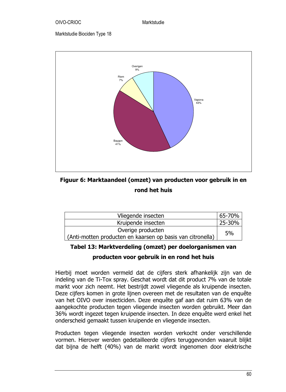

Figuur 6: Marktaandeel (omzet) van producten voor gebruik in en rond het huis

| Vliegende insecten                                         | 65-70% |
|------------------------------------------------------------|--------|
| Kruipende insecten                                         | 25-30% |
| Overige producten                                          | 5%     |
| (Anti-motten producten en kaarsen op basis van citronella) |        |

# Tabel 13: Marktverdeling (omzet) per doelorganismen van

# producten voor gebruik in en rond het huis

Hierbij moet worden vermeld dat de cijfers sterk afhankelijk zijn van de indeling van de Ti-Tox spray. Geschat wordt dat dit product 7% van de totale markt voor zich neemt. Het bestrijdt zowel vliegende als kruipende insecten. Deze cijfers komen in grote lijnen overeen met de resultaten van de enquête van het OIVO over insecticiden. Deze enquête gaf aan dat ruim 63% van de aangekochte producten tegen vliegende insecten worden gebruikt. Meer dan 36% wordt ingezet tegen kruipende insecten. In deze enquête werd enkel het onderscheid gemaakt tussen kruipende en vliegende insecten.

Producten tegen vliegende insecten worden verkocht onder verschillende vormen. Hierover werden gedetailleerde cijfers teruggevonden waaruit blijkt dat bijna de helft (40%) van de markt wordt ingenomen door elektrische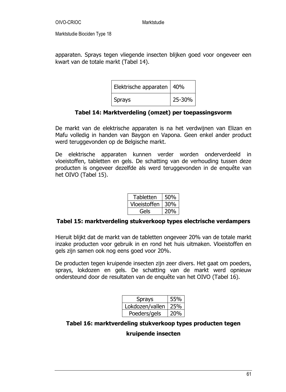apparaten. Sprays tegen vliegende insecten blijken goed voor ongeveer een kwart van de totale markt (Tabel 14).

| Elektrische apparaten   40% |        |
|-----------------------------|--------|
| <b>Sprays</b>               | 25-30% |

# Tabel 14: Marktverdeling (omzet) per toepassingsvorm

De markt van de elektrische apparaten is na het verdwijnen van Elizan en Mafu volledig in handen van Baygon en Vapona. Geen enkel ander product werd teruggevonden op de Belgische markt.

De elektrische apparaten kunnen verder worden onderverdeeld in vloeistoffen, tabletten en gels. De schatting van de verhouding tussen deze producten is ongeveer dezelfde als werd teruggevonden in de enquête van het OIVO (Tabel 15).

| Tabletten    | 50% |
|--------------|-----|
| Vloeistoffen | 30% |
| Gels         | 20% |

### Tabel 15: marktverdeling stukverkoop types electrische verdampers

Hieruit blijkt dat de markt van de tabletten ongeveer 20% van de totale markt inzake producten voor gebruik in en rond het huis uitmaken. Vloeistoffen en gels zijn samen ook nog eens goed voor 20%.

De producten tegen kruipende insecten zijn zeer divers. Het gaat om poeders, sprays, lokdozen en gels. De schatting van de markt werd opnieuw ondersteund door de resultaten van de enquête van het OIVO (Tabel 16).

| <b>Sprays</b>   | 55% |
|-----------------|-----|
| Lokdozen/vallen | 25% |
| Poeders/gels    | 20% |

### Tabel 16: marktverdeling stukverkoop types producten tegen

### kruipende insecten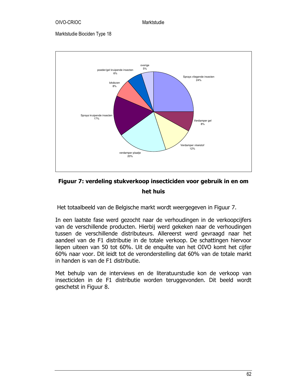

# Figuur 7: verdeling stukverkoop insecticiden voor gebruik in en om het huis

Het totaalbeeld van de Belgische markt wordt weergegeven in Figuur 7.

In een laatste fase werd gezocht naar de verhoudingen in de verkoopcijfers van de verschillende producten. Hierbij werd gekeken naar de verhoudingen tussen de verschillende distributeurs. Allereerst werd gevraagd naar het aandeel van de F1 distributie in de totale verkoop. De schattingen hiervoor liepen uiteen van 50 tot 60%. Uit de enquête van het OIVO komt het cijfer 60% naar voor. Dit leidt tot de veronderstelling dat 60% van de totale markt in handen is van de F1 distributie.

Met behulp van de interviews en de literatuurstudie kon de verkoop van insecticiden in de F1 distributie worden teruggevonden. Dit beeld wordt geschetst in Figuur 8.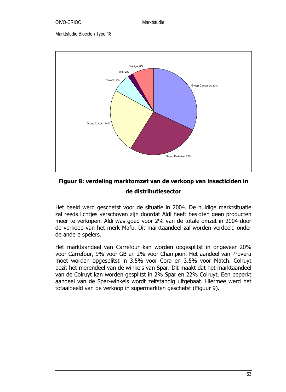

# Figuur 8: verdeling marktomzet van de verkoop van insecticiden in de distributiesector

Het beeld werd geschetst voor de situatie in 2004. De huidige marktsituatie zal reeds lichtjes verschoven zijn doordat Aldi heeft besloten geen producten meer te verkopen. Aldi was goed voor 2% van de totale omzet in 2004 door de verkoop van het merk Mafu. Dit marktaandeel zal worden verdeeld onder de andere spelers.

Het marktaandeel van Carrefour kan worden opgesplitst in ongeveer 20% voor Carrefour, 9% voor GB en 2% voor Champion. Het aandeel van Provera moet worden opgesplitst in 3.5% voor Cora en 3.5% voor Match. Colruyt bezit het merendeel van de winkels van Spar. Dit maakt dat het marktaandeel van de Colruyt kan worden gesplitst in 2% Spar en 22% Colruyt. Een beperkt aandeel van de Spar-winkels wordt zelfstandig uitgebaat. Hiermee werd het totaalbeeld van de verkoop in supermarkten geschetst (Figuur 9).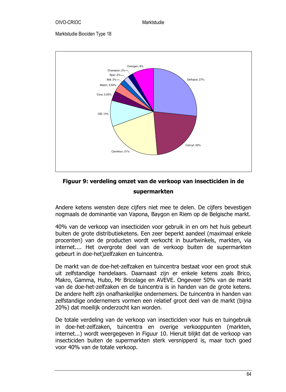

# Figuur 9: verdeling omzet van de verkoop van insecticiden in de supermarkten

Andere ketens wensten deze cijfers niet mee te delen. De cijfers bevestigen nogmaals de dominantie van Vapona, Baygon en Riem op de Belgische markt.

40% van de verkoop van insecticiden voor gebruik in en om het huis gebeurt buiten de grote distributieketens. Een zeer beperkt aandeel (maximaal enkele procenten) van de producten wordt verkocht in buurtwinkels, markten, via internet.... Het overgrote deel van de verkoop buiten de supermarkten gebeurt in doe-het)zelfzaken en tuincentra.

De markt van de doe-het-zelfzaken en tuincentra bestaat voor een groot stuk uit zelfstandige handelaars. Daarnaast zijn er enkele ketens zoals Brico, Makro, Gamma, Hubo, Mr Bricolage en AVEVE. Ongeveer 50% van de markt van de doe-het-zelfzaken en de tuincentra is in handen van de grote ketens. De andere helft zijn onafhankelijke ondernemers. De tuincentra in handen van zelfstandige ondernemers vormen een relatief groot deel van de markt (bijna 20%) dat moeilijk onderzocht kan worden.

De totale verdeling van de verkoop van insecticiden voor huis en tuingebruik in doe-het-zelfzaken, tuincentra en overige verkooppunten (markten, internet...) wordt weergegeven in Figuur 10. Hieruit blijkt dat de verkoop van insecticiden buiten de supermarkten sterk versnipperd is, maar toch goed voor 40% van de totale verkoop.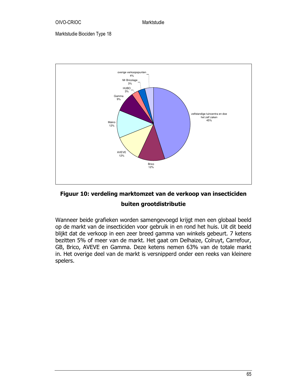OIVO-CRIOC Marktstudie

Marktstudie Biociden Type 18



# Figuur 10: verdeling marktomzet van de verkoop van insecticiden buiten grootdistributie

Wanneer beide grafieken worden samengevoegd krijgt men een globaal beeld op de markt van de insecticiden voor gebruik in en rond het huis. Uit dit beeld blijkt dat de verkoop in een zeer breed gamma van winkels gebeurt. 7 ketens bezitten 5% of meer van de markt. Het gaat om Delhaize, Colruyt, Carrefour, GB, Brico, AVEVE en Gamma. Deze ketens nemen 63% van de totale markt in. Het overige deel van de markt is versnipperd onder een reeks van kleinere spelers.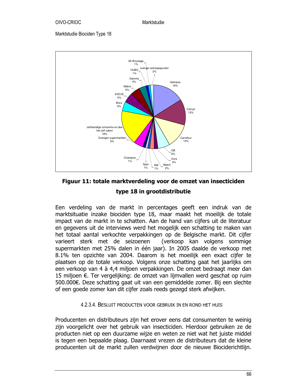OIVO-CRIOC Marktstudie

Marktstudie Biociden Type 18



# Figuur 11: totale marktverdeling voor de omzet van insecticiden type 18 in grootdistributie

Een verdeling van de markt in percentages geeft een indruk van de marktsituatie inzake biociden type 18, maar maakt het moeilijk de totale impact van de markt in te schatten. Aan de hand van cijfers uit de literatuur en gegevens uit de interviews werd het mogelijk een schatting te maken van het totaal aantal verkochte verpakkingen op de Belgische markt. Dit cijfer varieert sterk met de seizoenen (verkoop kan volgens sommige supermarkten met 25% dalen in één jaar). In 2005 daalde de verkoop met 8.1% ten opzichte van 2004. Daarom is het moeilijk een exact cijfer te plaatsen op de totale verkoop. Volgens onze schatting gaat het jaarlijks om een verkoop van 4 à 4,4 miljoen verpakkingen. De omzet bedraagt meer dan 15 miljoen €. Ter vergelijking: de omzet van lijmvallen werd geschat op ruim 500.000€. Deze schatting gaat uit van een gemiddelde zomer. Bij een slechte of een goede zomer kan dit cijfer zoals reeds gezegd sterk afwijken.

### 4.2.3.4. BESLUIT PRODUCTEN VOOR GEBRUIK IN EN ROND HET HUIS

Producenten en distributeurs zijn het erover eens dat consumenten te weinig zijn voorgelicht over het gebruik van insecticiden. Hierdoor gebruiken ze de producten niet op een duurzame wijze en weten ze niet wat het juiste middel is tegen een bepaalde plaag. Daarnaast vrezen de distributeurs dat de kleine producenten uit de markt zullen verdwijnen door de nieuwe Biociderichtlijn.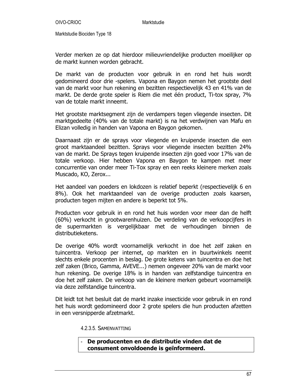Verder merken ze op dat hierdoor milieuvriendelijke producten moeilijker op de markt kunnen worden gebracht.

De markt van de producten voor gebruik in en rond het huis wordt gedomineerd door drie -spelers. Vapona en Baygon nemen het grootste deel van de markt voor hun rekening en bezitten respectievelijk 43 en 41% van de markt. De derde grote speler is Riem die met één product, Ti-tox spray, 7% van de totale markt inneemt.

Het grootste marktsegment zijn de verdampers tegen vliegende insecten. Dit marktgedeelte (40% van de totale markt) is na het verdwijnen van Mafu en Elizan volledig in handen van Vapona en Baygon gekomen.

Daarnaast zijn er de sprays voor vliegende en kruipende insecten die een groot marktaandeel bezitten. Sprays voor vliegende insecten bezitten 24% van de markt. De Sprays tegen kruipende insecten zijn goed voor 17% van de totale verkoop. Hier hebben Vapona en Baygon te kampen met meer concurrentie van onder meer Ti-Tox spray en een reeks kleinere merken zoals Muscado, KO, Zerox...

Het aandeel van poeders en lokdozen is relatief beperkt (respectievelijk 6 en 8%). Ook het marktaandeel van de overige producten zoals kaarsen, producten tegen mijten en andere is beperkt tot 5%.

Producten voor gebruik in en rond het huis worden voor meer dan de helft (60%) verkocht in grootwarenhuizen. De verdeling van de verkoopcijfers in de supermarkten is vergelijkbaar met de verhoudingen binnen de distributieketens.

De overige 40% wordt voornamelijk verkocht in doe het zelf zaken en tuincentra. Verkoop per internet, op markten en in buurtwinkels neemt slechts enkele procenten in beslag. De grote ketens van tuincentra en doe het zelf zaken (Brico, Gamma, AVEVE...) nemen ongeveer 20% van de markt voor hun rekening. De overige 18% is in handen van zelfstandige tuincentra en doe het zelf zaken. De verkoop van de kleinere merken gebeurt voornamelijk via deze zelfstandige tuincentra.

Dit leidt tot het besluit dat de markt inzake insecticide voor gebruik in en rond het huis wordt gedomineerd door 2 grote spelers die hun producten afzetten in een versnipperde afzetmarkt.

#### 4.2.3.5. SAMENVATTING

#### - De producenten en de distributie vinden dat de consument onvoldoende is geïnformeerd.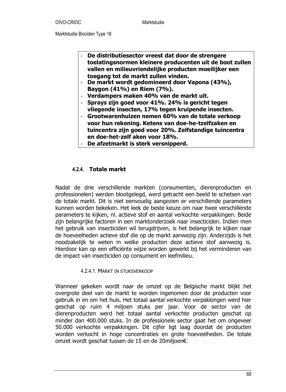- De distributiesector vreest dat door de strengere toelatingsnormen kleinere producenten uit de boot zullen vallen en milieuvriendelijke producten moeilijker een toegang tot de markt zullen vinden.
- De markt wordt gedomineerd door Vapona (43%), Baygon (41%) en Riem (7%).
- Verdampers maken 40% van de markt uit.
- Sprays zijn goed voor 41%. 24% is gericht tegen vliegende insecten, 17% tegen kruipende insecten.
- Grootwarenhuizen nemen 60% van de totale verkoop voor hun rekening. Ketens van doe-he-tzelfzaken en tuincentra zijn goed voor 20%. Zelfstandige tuincentra en doe-het-zelf aken voor 18%.
- De afzetmarkt is sterk versnipperd.

# 4.2.4. Totale markt

Nadat de drie verschillende markten (consumenten, dierenproducten en professionelen) werden blootgelegd, werd getracht een beeld te schetsen van de totale markt. Dit is niet eenvoudig aangezien er verschillende parameters kunnen worden bekeken. Het leek de beste keuze om naar twee verschillende parameters te kijken, nl. actieve stof en aantal verkochte verpakkingen. Beide zijn belangrijke factoren in een marktonderzoek naar insecticiden. Indien men het gebruik van insecticiden wil terugdrijven, is het belangrijk te kijken naar de hoeveelheden actieve stof die op de markt aanwezig zijn. Anderzijds is het noodzakelijk te weten in welke producten deze actieve stof aanwezig is. Hierdoor kan op een efficiënte wijze worden gewerkt bij het verminderen van de impact van insecticiden op consument en leefmilieu.

#### 4.2.4.1. MARKT IN STUKSVERKOOP

Wanneer gekeken wordt naar de omzet op de Belgische markt blijkt het overgrote deel van de markt te worden ingenomen door de producten voor gebruik in en om het huis. Het totaal aantal verkochte verpakkingen werd hier geschat op ruim 4 miljoen stuks per jaar. Voor de sector van de dierenproducten werd het totaal aantal verkochte producten geschat op minder dan 400.000 stuks. In de professionele sector gaat het om ongeveer 50.000 verkochte verpakkingen. Dit cijfer ligt laag doordat de producten worden verkocht in hoge concentraties en grote hoeveelheden. De totale omzet wordt geschat tussen de 15 en de 20miljoen€.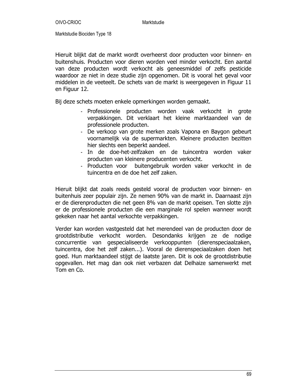Hieruit blijkt dat de markt wordt overheerst door producten voor binnen- en buitenshuis. Producten voor dieren worden veel minder verkocht. Een aantal van deze producten wordt verkocht als geneesmiddel of zelfs pesticide waardoor ze niet in deze studie zijn opgenomen. Dit is vooral het geval voor middelen in de veeteelt. De schets van de markt is weergegeven in Figuur 11 en Figuur 12.

Bij deze schets moeten enkele opmerkingen worden gemaakt.

- Professionele producten worden vaak verkocht in grote verpakkingen. Dit verklaart het kleine marktaandeel van de professionele producten.
- De verkoop van grote merken zoals Vapona en Baygon gebeurt voornamelijk via de supermarkten. Kleinere producten bezitten hier slechts een beperkt aandeel.
- In de doe-het-zelfzaken en de tuincentra worden vaker producten van kleinere producenten verkocht.
- Producten voor buitengebruik worden vaker verkocht in de tuincentra en de doe het zelf zaken.

Hieruit blijkt dat zoals reeds gesteld vooral de producten voor binnen- en buitenhuis zeer populair zijn. Ze nemen 90% van de markt in. Daarnaast zijn er de dierenproducten die net geen 8% van de markt opeisen. Ten slotte zijn er de professionele producten die een marginale rol spelen wanneer wordt gekeken naar het aantal verkochte verpakkingen.

Verder kan worden vastgesteld dat het merendeel van de producten door de grootdistributie verkocht worden. Desondanks krijgen ze de nodige concurrentie van gespecialiseerde verkooppunten (dierenspeciaalzaken, tuincentra, doe het zelf zaken...). Vooral de dierenspeciaalzaken doen het goed. Hun marktaandeel stijgt de laatste jaren. Dit is ook de grootdistributie opgevallen. Het mag dan ook niet verbazen dat Delhaize samenwerkt met Tom en Co.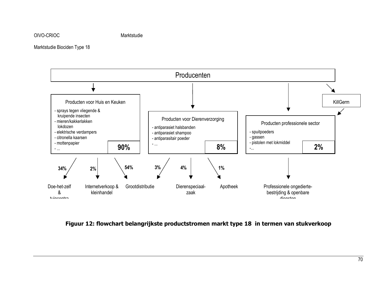OIVO-CRIOC Marktstudie

Marktstudie Biociden Type 18



#### Figuur 12: flowchart belangrijkste productstromen markt type 18 in termen van stukverkoop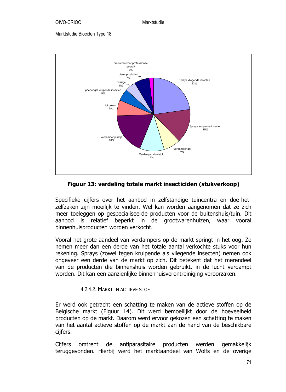

# Figuur 13: verdeling totale markt insecticiden (stukverkoop)

Specifieke cijfers over het aanbod in zelfstandige tuincentra en doe-hetzelfzaken zijn moeilijk te vinden. Wel kan worden aangenomen dat ze zich meer toeleggen op gespecialiseerde producten voor de buitenshuis/tuin. Dit aanbod is relatief beperkt in de grootwarenhuizen, waar vooral binnenhuisproducten worden verkocht.

Vooral het grote aandeel van verdampers op de markt springt in het oog. Ze nemen meer dan een derde van het totale aantal verkochte stuks voor hun rekening. Sprays (zowel tegen kruipende als vliegende insecten) nemen ook ongeveer een derde van de markt op zich. Dit betekent dat het merendeel van de producten die binnenshuis worden gebruikt, in de lucht verdampt worden. Dit kan een aanzienlijke binnenhuisverontreiniging veroorzaken.

### 4.2.4.2. MARKT IN ACTIEVE STOF

Er werd ook getracht een schatting te maken van de actieve stoffen op de Belgische markt (Figuur 14). Dit werd bemoeilijkt door de hoeveelheid producten op de markt. Daarom werd ervoor gekozen een schatting te maken van het aantal actieve stoffen op de markt aan de hand van de beschikbare cijfers.

Cijfers omtrent de antiparasitaire producten werden gemakkelijk teruggevonden. Hierbij werd het marktaandeel van Wolfs en de overige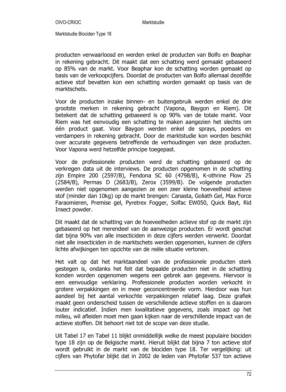producten verwaarloosd en werden enkel de producten van Bolfo en Beaphar in rekening gebracht. Dit maakt dat een schatting werd gemaakt gebaseerd op 85% van de markt. Voor Beaphar kon de schatting worden gemaakt op basis van de verkoopcijfers. Doordat de producten van Bolfo allemaal dezelfde actieve stof bevatten kon een schatting worden gemaakt op basis van de marktschets.

Voor de producten inzake binnen- en buitengebruik werden enkel de drie grootste merken in rekening gebracht (Vapona, Baygon en Riem). Dit betekent dat de schatting gebaseerd is op 90% van de totale markt. Voor Riem was het eenvoudig een schatting te maken aangezien het slechts om één product gaat. Voor Baygon werden enkel de sprays, poeders en verdampers in rekening gebracht. Door de marktstudie kon worden beschikt over accurate gegevens betreffende de verhoudingen van deze producten. Voor Vapona werd hetzelfde principe toegepast.

Voor de professionele producten werd de schatting gebaseerd op de verkregen data uit de interviews. De producten opgenomen in de schatting zijn Empire 200 (2597/B), Fendona SC 60 (4798/B), K-othrine Flow 25 (2584/B), Permas D (2683/B), Zerox (3599/B). De volgende producten werden niet opgenomen aangezien ze een zeer kleine hoeveelheid actieve stof (minder dan 10kg) op de markt brengen: Canasta, Goliath Gel, Max Force Faraomieren, Premise gel, Pyretrex Fogger, Solfac EW050, Quick Bayt, Rid Insect powder.

Dit maakt dat de schatting van de hoeveelheden actieve stof op de markt zijn gebaseerd op het merendeel van de aanwezige producten. Er wordt geschat dat bijna 90% van alle insecticiden in deze cijfers werden verwerkt. Doordat niet alle insecticiden in de marktschets werden opgenomen, kunnen de cijfers lichte afwijkingen ten opzichte van de reële situatie vertonen.

Het valt op dat het marktaandeel van de professionele producten sterk gestegen is, ondanks het feit dat bepaalde producten niet in de schatting konden worden opgenomen wegens een gebrek aan gegevens. Hiervoor is een eenvoudige verklaring. Professionele producten worden verkocht in grotere verpakkingen en in meer geconcentreerde vorm. Hierdoor was hun aandeel bij het aantal verkochte verpakkingen relatief laag. Deze grafiek maakt geen onderscheid tussen de verschillende actieve stoffen en is daarom louter indicatief. Indien men kwalitatieve gegevens, zoals impact op het milieu, wil afleiden moet men gaan kijken naar de verschillende impact van de actieve stoffen. Dit behoort niet tot de scope van deze studie.

Uit Tabel 17 en Tabel 11 blijkt onmiddellijk welke de meest populaire biociden type 18 zijn op de Belgische markt. Hieruit blijkt dat bijna 7 ton actieve stof wordt gebruikt in de markt van de biociden type 18. Ter vergelijking: uit cijfers van Phytofar blijkt dat in 2002 de leden van Phytofar 537 ton actieve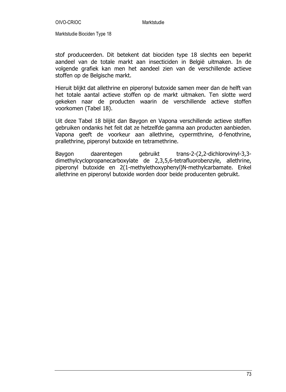Marktstudie Biociden Type 18

stof produceerden. Dit betekent dat biociden type 18 slechts een beperkt aandeel van de totale markt aan insecticiden in België uitmaken. In de volgende grafiek kan men het aandeel zien van de verschillende actieve stoffen op de Belgische markt.

Hieruit blijkt dat allethrine en piperonyl butoxide samen meer dan de helft van het totale aantal actieve stoffen op de markt uitmaken. Ten slotte werd gekeken naar de producten waarin de verschillende actieve stoffen voorkomen (Tabel 18).

Uit deze Tabel 18 blijkt dan Baygon en Vapona verschillende actieve stoffen gebruiken ondanks het feit dat ze hetzelfde gamma aan producten aanbieden. Vapona geeft de voorkeur aan allethrine, cypermthrine, d-fenothrine, prallethrine, piperonyl butoxide en tetramethrine.

Baygon daarentegen gebruikt trans-2-(2,2-dichlorovinyl-3,3 dimethylcyclopropanecarboxylate de 2,3,5,6-tetrafluorobenzyle, allethrine, piperonyl butoxide en 2(1-methylethoxyphenyl)N-methylcarbamate. Enkel allethrine en piperonyl butoxide worden door beide producenten gebruikt.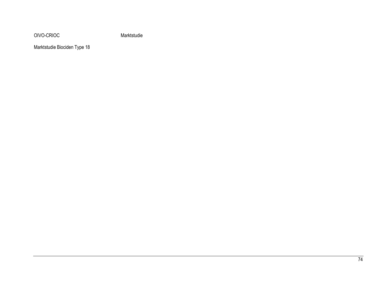Marktstudie Biociden Type 18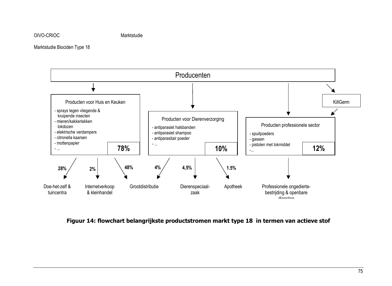Marktstudie Biociden Type 18



## Figuur 14: flowchart belangrijkste productstromen markt type 18 in termen van actieve stof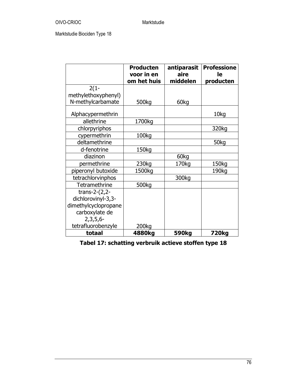|                      | <b>Producten</b><br>voor in en | antiparasit<br>aire | <b>Professione</b><br>le |
|----------------------|--------------------------------|---------------------|--------------------------|
|                      | om het huis                    | middelen            | producten                |
| $2(1 -$              |                                |                     |                          |
| methylethoxyphenyl)  |                                |                     |                          |
| N-methylcarbamate    | 500kg                          | 60kg                |                          |
| Alphacypermethrin    |                                |                     | 10 <sub>kg</sub>         |
| allethrine           | 1700kg                         |                     |                          |
| chlorpyriphos        |                                |                     | 320kg                    |
| cypermethrin         | 100kg                          |                     |                          |
| deltamethrine        |                                |                     | 50kg                     |
| d-fenotrine          | 150kg                          |                     |                          |
| diazinon             |                                | 60kg                |                          |
| permethrine          | 230 <sub>kg</sub>              | 170kg               | 150kg                    |
| piperonyl butoxide   | 1500kg                         |                     | 190kg                    |
| tetrachlorvinphos    |                                | 300kg               |                          |
| Tetramethrine        | 500kg                          |                     |                          |
| trans-2- $(2,2-$     |                                |                     |                          |
| dichlorovinyl-3,3-   |                                |                     |                          |
| dimethylcyclopropane |                                |                     |                          |
| carboxylate de       |                                |                     |                          |
| $2,3,5,6-$           |                                |                     |                          |
| tetrafluorobenzyle   | 200 <sub>kg</sub>              |                     |                          |
| totaal               | 4880kg                         | <b>590kg</b>        | <b>720kg</b>             |

Tabel 17: schatting verbruik actieve stoffen type 18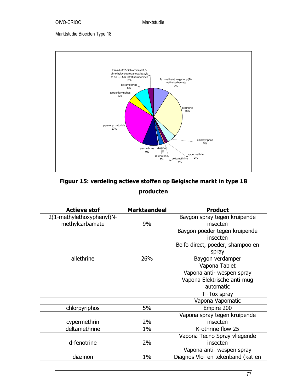

## Figuur 15: verdeling actieve stoffen op Belgische markt in type 18 producten

| <b>Actieve stof</b>       | <b>Marktaandeel</b> | <b>Product</b>                    |
|---------------------------|---------------------|-----------------------------------|
| 2(1-methylethoxyphenyl)N- |                     | Baygon spray tegen kruipende      |
| methylcarbamate           | 9%                  | insecten                          |
|                           |                     | Baygon poeder tegen kruipende     |
|                           |                     | insecten                          |
|                           |                     | Bolfo direct, poeder, shampoo en  |
|                           |                     | spray                             |
| allethrine                | 26%                 | Baygon verdamper                  |
|                           |                     | Vapona Tablet                     |
|                           |                     | Vapona anti- wespen spray         |
|                           |                     | Vapona Elektrische anti-mug       |
|                           |                     | automatic                         |
|                           |                     | Ti-Tox spray                      |
|                           |                     | Vapona Vapomatic                  |
| chlorpyriphos             | 5%                  | Empire 200                        |
|                           |                     | Vapona spray tegen kruipende      |
| cypermethrin              | 2%                  | insecten                          |
| deltamethrine             | $1\%$               | K-othrine flow 25                 |
|                           |                     | Vapona Tecno Spray vliegende      |
| d-fenotrine               | 2%                  | insecten                          |
|                           |                     | Vapona anti- wespen spray         |
| diazinon                  | 1%                  | Diagnos Vlo- en tekenband (kat en |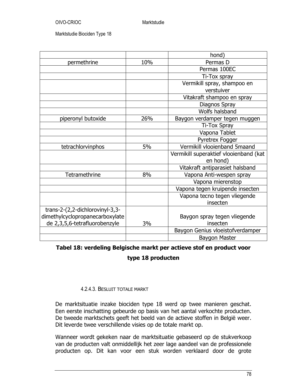Marktstudie Biociden Type 18

|                                 |     | hond)                                  |
|---------------------------------|-----|----------------------------------------|
| permethrine                     | 10% | Permas D                               |
|                                 |     | Permas 100EC                           |
|                                 |     | Ti-Tox spray                           |
|                                 |     | Vermikill spray, shampoo en            |
|                                 |     | verstuiver                             |
|                                 |     | Vitakraft shampoo en spray             |
|                                 |     | Diagnos Spray                          |
|                                 |     | Wolfs halsband                         |
| piperonyl butoxide              | 26% | Baygon verdamper tegen muggen          |
|                                 |     | <b>Ti-Tox Spray</b>                    |
|                                 |     | Vapona Tablet                          |
|                                 |     | Pyretrex Fogger                        |
| tetrachlorvinphos               | 5%  | Vermikill vlooienband 5maand           |
|                                 |     | Vermikill superaktief vlooienband (kat |
|                                 |     | en hond)                               |
|                                 |     | Vitakraft antiparasiet halsband        |
| Tetramethrine                   | 8%  | Vapona Anti-wespen spray               |
|                                 |     | Vapona mierenstop                      |
|                                 |     | Vapona tegen kruipende insecten        |
|                                 |     | Vapona tecno tegen vliegende           |
|                                 |     | insecten                               |
| trans-2-(2,2-dichlorovinyl-3,3- |     |                                        |
| dimethylcyclopropanecarboxylate |     | Baygon spray tegen vliegende           |
| de 2,3,5,6-tetrafluorobenzyle   | 3%  | insecten                               |
|                                 |     | Baygon Genius vloeistofverdamper       |
|                                 |     | Baygon Master                          |
|                                 |     |                                        |

# Tabel 18: verdeling Belgische markt per actieve stof en product voor

## type 18 producten

## 4.2.4.3. BESLUIT TOTALE MARKT

De marktsituatie inzake biociden type 18 werd op twee manieren geschat. Een eerste inschatting gebeurde op basis van het aantal verkochte producten. De tweede marktschets geeft het beeld van de actieve stoffen in België weer. Dit leverde twee verschillende visies op de totale markt op.

Wanneer wordt gekeken naar de marktsituatie gebaseerd op de stukverkoop van de producten valt onmiddellijk het zeer lage aandeel van de professionele producten op. Dit kan voor een stuk worden verklaard door de grote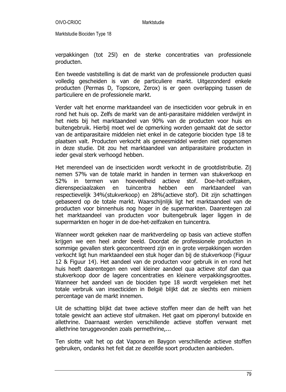verpakkingen (tot 25l) en de sterke concentraties van professionele producten.

Een tweede vaststelling is dat de markt van de professionele producten quasi volledig gescheiden is van de particuliere markt. Uitgezonderd enkele producten (Permas D, Topscore, Zerox) is er geen overlapping tussen de particuliere en de professionele markt.

Verder valt het enorme marktaandeel van de insecticiden voor gebruik in en rond het huis op. Zelfs de markt van de anti-parasitaire middelen verdwijnt in het niets bij het marktaandeel van 90% van de producten voor huis en buitengebruik. Hierbij moet wel de opmerking worden gemaakt dat de sector van de antiparasitaire middelen niet enkel in de categorie biociden type 18 te plaatsen valt. Producten verkocht als geneesmiddel werden niet opgenomen in deze studie. Dit zou het marktaandeel van antiparasitaire producten in ieder geval sterk verhoogd hebben.

Het merendeel van de insecticiden wordt verkocht in de grootdistributie. Zij nemen 57% van de totale markt in handen in termen van stukverkoop en 52% in termen van hoeveelheid actieve stof. Doe-het-zelfzaken, dierenspeciaalzaken en tuincentra hebben een marktaandeel van respectievelijk 34%(stukverkoop) en 28%(actieve stof). Dit zijn schattingen gebaseerd op de totale markt. Waarschijnlijk ligt het marktaandeel van de producten voor binnenhuis nog hoger in de supermarkten. Daarentegen zal het marktaandeel van producten voor buitengebruik lager liggen in de supermarkten en hoger in de doe-het-zelfzaken en tuincentra.

Wanneer wordt gekeken naar de marktverdeling op basis van actieve stoffen krijgen we een heel ander beeld. Doordat de professionele producten in sommige gevallen sterk geconcentreerd zijn en in grote verpakkingen worden verkocht ligt hun marktaandeel een stuk hoger dan bij de stukverkoop (Figuur 12 & Figuur 14). Het aandeel van de producten voor gebruik in en rond het huis heeft daarentegen een veel kleiner aandeel qua actieve stof dan qua stukverkoop door de lagere concentraties en kleinere verpakkingsgroottes. Wanneer het aandeel van de biociden type 18 wordt vergeleken met het totale verbruik van insecticiden in België blijkt dat ze slechts een miniem percentage van de markt innemen.

Uit de schatting blijkt dat twee actieve stoffen meer dan de helft van het totale gewicht aan actieve stof uitmaken. Het gaat om piperonyl butoxide en allethrine. Daarnaast werden verschillende actieve stoffen verwant met allethrine teruggevonden zoals permethrine,...

Ten slotte valt het op dat Vapona en Baygon verschillende actieve stoffen gebruiken, ondanks het feit dat ze dezelfde soort producten aanbieden.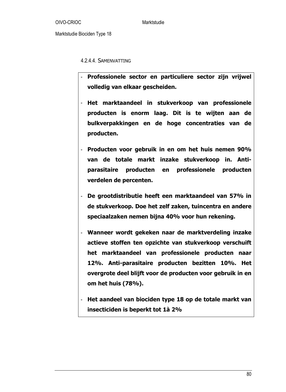### 4.2.4.4. SAMENVATTING

- Professionele sector en particuliere sector zijn vrijwel volledig van elkaar gescheiden.

- Het marktaandeel in stukverkoop van professionele producten is enorm laag. Dit is te wijten aan de bulkverpakkingen en de hoge concentraties van de producten.
- Producten voor gebruik in en om het huis nemen 90% van de totale markt inzake stukverkoop in. Antiparasitaire producten en professionele producten verdelen de percenten.
- De grootdistributie heeft een marktaandeel van 57% in de stukverkoop. Doe het zelf zaken, tuincentra en andere speciaalzaken nemen bijna 40% voor hun rekening.
- Wanneer wordt gekeken naar de marktverdeling inzake actieve stoffen ten opzichte van stukverkoop verschuift het marktaandeel van professionele producten naar 12%. Anti-parasitaire producten bezitten 10%. Het overgrote deel blijft voor de producten voor gebruik in en om het huis (78%).
- Het aandeel van biociden type 18 op de totale markt van insecticiden is beperkt tot 1à 2%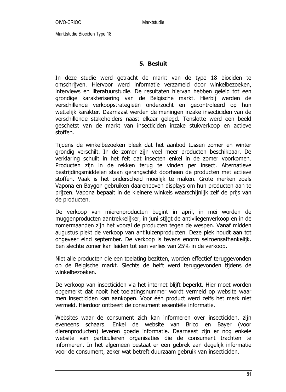## 5. Besluit

In deze studie werd getracht de markt van de type 18 biociden te omschrijven. Hiervoor werd informatie verzameld door winkelbezoeken, interviews en literatuurstudie. De resultaten hiervan hebben geleid tot een grondige karakterisering van de Belgische markt. Hierbij werden de verschillende verkoopstrategieën onderzocht en gecontroleerd op hun wettelijk karakter. Daarnaast werden de meningen inzake insecticiden van de verschillende stakeholders naast elkaar gelegd. Tenslotte werd een beeld geschetst van de markt van insecticiden inzake stukverkoop en actieve stoffen.

Tijdens de winkelbezoeken bleek dat het aanbod tussen zomer en winter grondig verschilt. In de zomer zijn veel meer producten beschikbaar. De verklaring schuilt in het feit dat insecten enkel in de zomer voorkomen. Producten zijn in de rekken terug te vinden per insect. Alternatieve bestrijdingsmiddelen staan gerangschikt doorheen de producten met actieve stoffen. Vaak is het onderscheid moeilijk te maken. Grote merken zoals Vapona en Baygon gebruiken daarenboven displays om hun producten aan te prijzen. Vapona bepaalt in de kleinere winkels waarschijnlijk zelf de prijs van de producten.

De verkoop van mierenproducten begint in april, in mei worden de muggenproducten aantrekkelijker, in juni stijgt de antivliegenverkoop en in de zomermaanden zijn het vooral de producten tegen de wespen. Vanaf midden augustus piekt de verkoop van antiluizenproducten. Deze piek houdt aan tot ongeveer eind september. De verkoop is tevens enorm seizoensafhankelijk. Een slechte zomer kan leiden tot een verlies van 25% in de verkoop.

Niet alle producten die een toelating bezitten, worden effectief teruggevonden op de Belgische markt. Slechts de helft werd teruggevonden tijdens de winkelbezoeken.

De verkoop van insecticiden via het internet blijft beperkt. Hier moet worden opgemerkt dat nooit het toelatingsnummer wordt vermeld op website waar men insecticiden kan aankopen. Voor één product werd zelfs het merk niet vermeld. Hierdoor ontbeert de consument essentiële informatie.

Websites waar de consument zich kan informeren over insecticiden, zijn eveneens schaars. Enkel de website van Brico en Bayer (voor dierenproducten) leveren goede informatie. Daarnaast zijn er nog enkele website van particulieren organisaties die de consument trachten te informeren. In het algemeen bestaat er een gebrek aan degelijk informatie voor de consument, zeker wat betreft duurzaam gebruik van insecticiden.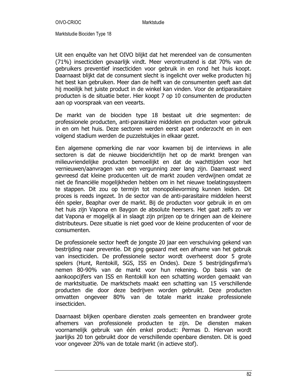Uit een enquête van het OIVO blijkt dat het merendeel van de consumenten (71%) insecticiden gevaarlijk vindt. Meer verontrustend is dat 70% van de gebruikers preventief insecticiden voor gebruik in en rond het huis koopt. Daarnaast blijkt dat de consument slecht is ingelicht over welke producten hij het best kan gebruiken. Meer dan de helft van de consumenten geeft aan dat hij moeilijk het juiste product in de winkel kan vinden. Voor de antiparasitaire producten is de situatie beter. Hier koopt 7 op 10 consumenten de producten aan op voorspraak van een veearts.

De markt van de biociden type 18 bestaat uit drie segmenten: de professionele producten, anti-parasitaire middelen en producten voor gebruik in en om het huis. Deze sectoren werden eerst apart onderzocht en in een volgend stadium werden de puzzelstukjes in elkaar gezet.

Een algemene opmerking die nar voor kwamen bij de interviews in alle sectoren is dat de nieuwe biociderichtlijn het op de markt brengen van milieuvriendelijke producten bemoeilijkt en dat de wachttijden voor het vernieuwen/aanvragen van een vergunning zeer lang zijn. Daarnaast werd gevreesd dat kleine producenten uit de markt zouden verdwijnen omdat ze niet de financiële mogelijkheden hebben om in het nieuwe toelatingssysteem te stappen. Dit zou op termijn tot monopolievorming kunnen leiden. Dit proces is reeds ingezet. In de sector van de anti-parasitaire middelen heerst één speler, Beaphar over de markt. Bij de producten voor gebruik in en om het huis zijn Vapona en Baygon de absolute heersers. Het gaat zelfs zo ver dat Vapona er mogelijk al in slaagt zijn prijzen op te dringen aan de kleinere distributeurs. Deze situatie is niet goed voor de kleine producenten of voor de consumenten.

De professionele sector heeft de jongste 20 jaar een verschuiving gekend van bestrijding naar preventie. Dit ging gepaard met een afname van het gebruik van insecticiden. De professionele sector wordt overheerst door 5 grote spelers (Hunt, Rentokill, SGS, ISS en Ondes). Deze 5 bestrijdingsfirma's nemen 80-90% van de markt voor hun rekening. Op basis van de aankoopcijfers van ISS en Rentokill kon een schatting worden gemaakt van de marktsituatie. De marktschets maakt een schatting van 15 verschillende producten die door deze bedrijven worden gebruikt. Deze producten omvatten ongeveer 80% van de totale markt inzake professionele insecticiden.

Daarnaast blijken openbare diensten zoals gemeenten en brandweer grote afnemers van professionele producten te zijn. De diensten maken voornamelijk gebruik van één enkel product: Permas D. Hiervan wordt jaarlijks 20 ton gebruikt door de verschillende openbare diensten. Dit is goed voor ongeveer 20% van de totale markt (in actieve stof).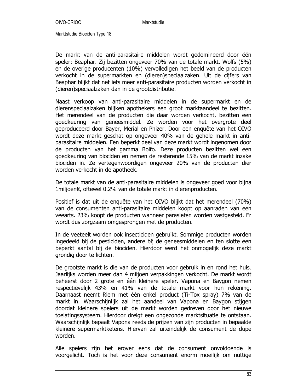Marktstudie Biociden Type 18

De markt van de anti-parasitaire middelen wordt gedomineerd door één speler: Beaphar. Zij bezitten ongeveer 70% van de totale markt. Wolfs (5%) en de overige producenten (10%) vervolledigen het beeld van de producten verkocht in de supermarkten en (dieren)speciaalzaken. Uit de cijfers van Beaphar blijkt dat net iets meer anti-parasitaire producten worden verkocht in (dieren)speciaalzaken dan in de grootdistributie.

Naast verkoop van anti-parasitaire middelen in de supermarkt en de dierenspeciaalzaken blijken apothekers een groot marktaandeel te bezitten. Het merendeel van de producten die daar worden verkocht, bezitten een goedkeuring van geneesmiddel. Ze worden voor het overgrote deel geproduceerd door Bayer, Merial en Phizer. Door een enquête van het OIVO wordt deze markt geschat op ongeveer 40% van de gehele markt in antiparasitaire middelen. Een beperkt deel van deze markt wordt ingenomen door de producten van het gamma Bolfo. Deze producten bezitten wel een goedkeuring van biociden en nemen de resterende 15% van de markt inzake biociden in. Ze vertegenwoordigen ongeveer 20% van de producten dier worden verkocht in de apotheek.

De totale markt van de anti-parasitaire middelen is ongeveer goed voor bijna 1miljoen€, oftewel 0.2% van de totale markt in dierenproducten.

Positief is dat uit de enquête van het OIVO blijkt dat het merendeel (70%) van de consumenten anti-parasitaire middelen koopt op aanraden van een veearts. 23% koopt de producten wanneer parasieten worden vastgesteld. Er wordt dus zorgzaam omgesprongen met de producten.

In de veeteelt worden ook insecticiden gebruikt. Sommige producten worden ingedeeld bij de pesticiden, andere bij de geneesmiddelen en ten slotte een beperkt aantal bij de biociden. Hierdoor werd het onmogelijk deze markt grondig door te lichten.

De grootste markt is die van de producten voor gebruik in en rond het huis. Jaarlijks worden meer dan 4 miljoen verpakkingen verkocht. De markt wordt beheerst door 2 grote en één kleinere speler. Vapona en Baygon nemen respectievelijk 43% en 41% van de totale markt voor hun rekening. Daarnaast neemt Riem met één enkel product (Ti-Tox spray) 7% van de markt in. Waarschijnlijk zal het aandeel van Vapona en Baygon stijgen doordat kleinere spelers uit de markt worden gedreven door het nieuwe toelatingssysteem. Hierdoor dreigt een ongezonde marktsituatie te ontstaan. Waarschijnlijk bepaalt Vapona reeds de prijzen van zijn producten in bepaalde kleinere supermarktketens. Hiervan zal uiteindelijk de consument de dupe worden.

Alle spelers zijn het erover eens dat de consument onvoldoende is voorgelicht. Toch is het voor deze consument enorm moeilijk om nuttige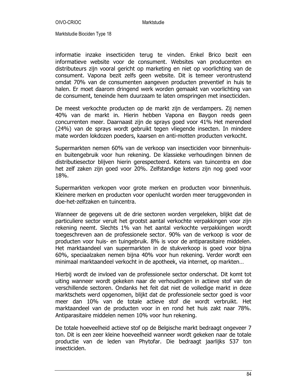informatie inzake insecticiden terug te vinden. Enkel Brico bezit een informatieve website voor de consument. Websites van producenten en distributeurs zijn vooral gericht op marketing en niet op voorlichting van de consument. Vapona bezit zelfs geen website. Dit is temeer verontrustend omdat 70% van de consumenten aangeven producten preventief in huis te halen. Er moet daarom dringend werk worden gemaakt van voorlichting van de consument, teneinde hem duurzaam te laten omspringen met insecticiden.

De meest verkochte producten op de markt zijn de verdampers. Zij nemen 40% van de markt in. Hierin hebben Vapona en Baygon reeds geen concurrenten meer. Daarnaast zijn de sprays goed voor 41% Het merendeel (24%) van de sprays wordt gebruikt tegen vliegende insecten. In mindere mate worden lokdozen poeders, kaarsen en anti-motten producten verkocht.

Supermarkten nemen 60% van de verkoop van insecticiden voor binnenhuisen buitengebruik voor hun rekening. De klassieke verhoudingen binnen de distributiesector blijven hierin gerespecteerd. Ketens van tuincentra en doe het zelf zaken zijn goed voor 20%. Zelfstandige ketens zijn nog goed voor 18%.

Supermarkten verkopen voor grote merken en producten voor binnenhuis. Kleinere merken en producten voor openlucht worden meer teruggevonden in doe-het-zelfzaken en tuincentra.

Wanneer de gegevens uit de drie sectoren worden vergeleken, blijkt dat de particuliere sector veruit het grootst aantal verkochte verpakkingen voor zijn rekening neemt. Slechts 1% van het aantal verkochte verpakkingen wordt toegeschreven aan de professionele sector. 90% van de verkoop is voor de producten voor huis- en tuingebruik. 8% is voor de antiparasitaire middelen. Het marktaandeel van supermarkten in de stukverkoop is goed voor bijna 60%, speciaalzaken nemen bijna 40% voor hun rekening. Verder wordt een minimaal marktaandeel verkocht in de apotheek, via internet, op markten…

Hierbij wordt de invloed van de professionele sector onderschat. Dit komt tot uiting wanneer wordt gekeken naar de verhoudingen in actieve stof van de verschillende sectoren. Ondanks het feit dat niet de volledige markt in deze marktschets werd opgenomen, blijkt dat de professionele sector goed is voor meer dan 10% van de totale actieve stof die wordt verbruikt. Het marktaandeel van de producten voor in en rond het huis zakt naar 78%. Antiparasitaire middelen nemen 10% voor hun rekening.

De totale hoeveelheid actieve stof op de Belgische markt bedraagt ongeveer 7 ton. Dit is een zeer kleine hoeveelheid wanneer wordt gekeken naar de totale productie van de leden van Phytofar. Die bedraagt jaarlijks 537 ton insecticiden.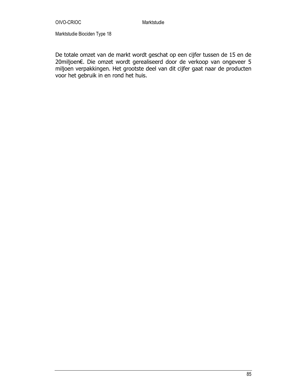Marktstudie Biociden Type 18

De totale omzet van de markt wordt geschat op een cijfer tussen de 15 en de 20miljoen€. Die omzet wordt gerealiseerd door de verkoop van ongeveer 5 miljoen verpakkingen. Het grootste deel van dit cijfer gaat naar de producten voor het gebruik in en rond het huis.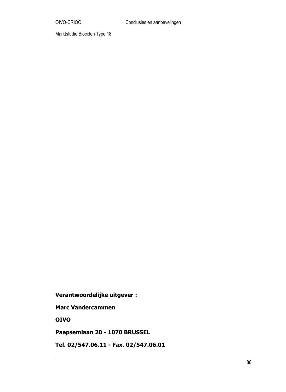Verantwoordelijke uitgever :

Marc Vandercammen

OIVO

Paapsemlaan 20 - 1070 BRUSSEL

Tel. 02/547.06.11 - Fax. 02/547.06.01